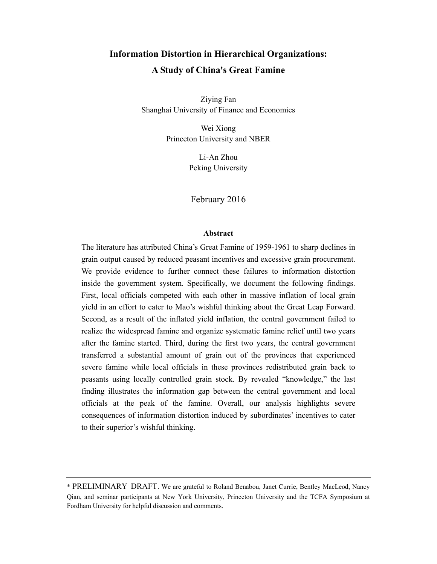# **Information Distortion in Hierarchical Organizations: A Study of China's Great Famine**

Ziying Fan Shanghai University of Finance and Economics

> Wei Xiong Princeton University and NBER

> > Li-An Zhou Peking University

February 2016

## **Abstract**

The literature has attributed China's Great Famine of 1959-1961 to sharp declines in grain output caused by reduced peasant incentives and excessive grain procurement. We provide evidence to further connect these failures to information distortion inside the government system. Specifically, we document the following findings. First, local officials competed with each other in massive inflation of local grain yield in an effort to cater to Mao's wishful thinking about the Great Leap Forward. Second, as a result of the inflated yield inflation, the central government failed to realize the widespread famine and organize systematic famine relief until two years after the famine started. Third, during the first two years, the central government transferred a substantial amount of grain out of the provinces that experienced severe famine while local officials in these provinces redistributed grain back to peasants using locally controlled grain stock. By revealed "knowledge," the last finding illustrates the information gap between the central government and local officials at the peak of the famine. Overall, our analysis highlights severe consequences of information distortion induced by subordinates' incentives to cater to their superior's wishful thinking.

<sup>\*</sup> PRELIMINARY DRAFT. We are grateful to Roland Benabou, Janet Currie, Bentley MacLeod, Nancy Qian, and seminar participants at New York University, Princeton University and the TCFA Symposium at Fordham University for helpful discussion and comments.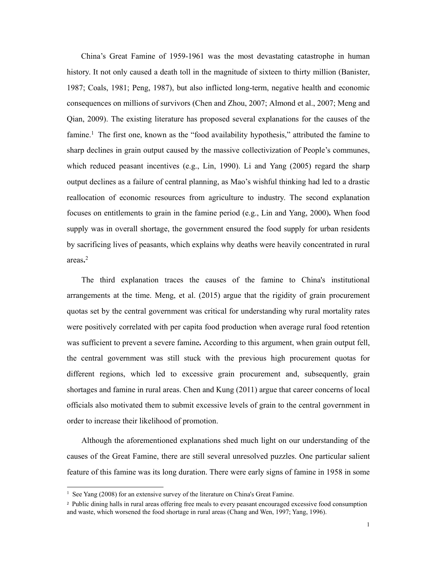China's Great Famine of 1959-1961 was the most devastating catastrophe in human history. It not only caused a death toll in the magnitude of sixteen to thirty million (Banister, 1987; Coals, 1981; Peng, 1987), but also inflicted long-term, negative health and economic consequences on millions of survivors (Chen and Zhou, 2007; Almond et al., 2007; Meng and Qian, 2009). The existing literature has proposed several explanations for the causes of the famine.<sup>1</sup> The first one, known as the "food availability hypothesis," attributed the famine to sharp declines in grain output caused by the massive collectivization of People's communes, which reduced peasant incentives (e.g., Lin, 1990). Li and Yang (2005) regard the sharp output declines as a failure of central planning, as Mao's wishful thinking had led to a drastic reallocation of economic resources from agriculture to industry. The second explanation focuses on entitlements to grain in the famine period (e.g., Lin and Yang, 2000)**.** When food supply was in overall shortage, the government ensured the food supply for urban residents by sacrificing lives of peasants, which explains why deaths were heavily concentrated in rural areas**.** 2

The third explanation traces the causes of the famine to China's institutional arrangements at the time. Meng, et al. (2015) argue that the rigidity of grain procurement quotas set by the central government was critical for understanding why rural mortality rates were positively correlated with per capita food production when average rural food retention was sufficient to prevent a severe famine**.** According to this argument, when grain output fell, the central government was still stuck with the previous high procurement quotas for different regions, which led to excessive grain procurement and, subsequently, grain shortages and famine in rural areas. Chen and Kung (2011) argue that career concerns of local officials also motivated them to submit excessive levels of grain to the central government in order to increase their likelihood of promotion.

Although the aforementioned explanations shed much light on our understanding of the causes of the Great Famine, there are still several unresolved puzzles. One particular salient feature of this famine was its long duration. There were early signs of famine in 1958 in some

 $\overline{a}$ 

<sup>&</sup>lt;sup>1</sup> See Yang (2008) for an extensive survey of the literature on China's Great Famine.

<sup>2</sup> Public dining halls in rural areas offering free meals to every peasant encouraged excessive food consumption and waste, which worsened the food shortage in rural areas (Chang and Wen, 1997; Yang, 1996).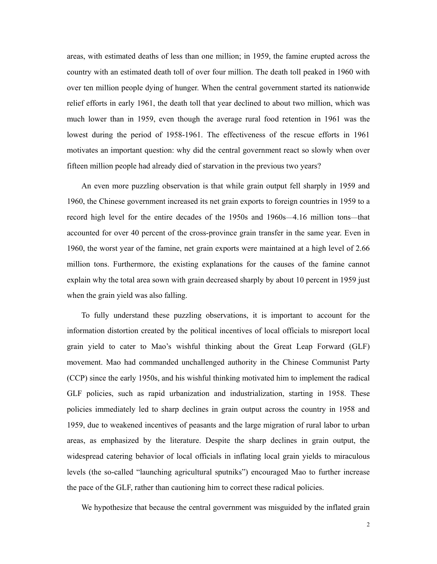areas, with estimated deaths of less than one million; in 1959, the famine erupted across the country with an estimated death toll of over four million. The death toll peaked in 1960 with over ten million people dying of hunger. When the central government started its nationwide relief efforts in early 1961, the death toll that year declined to about two million, which was much lower than in 1959, even though the average rural food retention in 1961 was the lowest during the period of 1958-1961. The effectiveness of the rescue efforts in 1961 motivates an important question: why did the central government react so slowly when over fifteen million people had already died of starvation in the previous two years?

An even more puzzling observation is that while grain output fell sharply in 1959 and 1960, the Chinese government increased its net grain exports to foreign countries in 1959 to a record high level for the entire decades of the 1950s and 1960s—4.16 million tons—that accounted for over 40 percent of the cross-province grain transfer in the same year. Even in 1960, the worst year of the famine, net grain exports were maintained at a high level of 2.66 million tons. Furthermore, the existing explanations for the causes of the famine cannot explain why the total area sown with grain decreased sharply by about 10 percent in 1959 just when the grain yield was also falling.

To fully understand these puzzling observations, it is important to account for the information distortion created by the political incentives of local officials to misreport local grain yield to cater to Mao's wishful thinking about the Great Leap Forward (GLF) movement. Mao had commanded unchallenged authority in the Chinese Communist Party (CCP) since the early 1950s, and his wishful thinking motivated him to implement the radical GLF policies, such as rapid urbanization and industrialization, starting in 1958. These policies immediately led to sharp declines in grain output across the country in 1958 and 1959, due to weakened incentives of peasants and the large migration of rural labor to urban areas, as emphasized by the literature. Despite the sharp declines in grain output, the widespread catering behavior of local officials in inflating local grain yields to miraculous levels (the so-called "launching agricultural sputniks") encouraged Mao to further increase the pace of the GLF, rather than cautioning him to correct these radical policies.

We hypothesize that because the central government was misguided by the inflated grain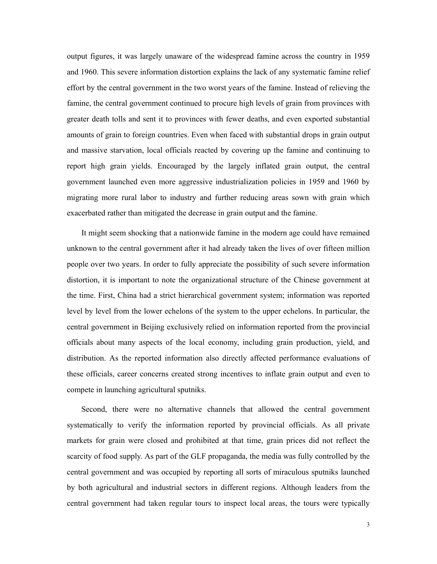output figures, it was largely unaware of the widespread famine across the country in 1959 and 1960. This severe information distortion explains the lack of any systematic famine relief effort by the central government in the two worst years of the famine. Instead of relieving the famine, the central government continued to procure high levels of grain from provinces with greater death tolls and sent it to provinces with fewer deaths, and even exported substantial amounts of grain to foreign countries. Even when faced with substantial drops in grain output and massive starvation, local officials reacted by covering up the famine and continuing to report high grain yields. Encouraged by the largely inflated grain output, the central government launched even more aggressive industrialization policies in 1959 and 1960 by migrating more rural labor to industry and further reducing areas sown with grain which exacerbated rather than mitigated the decrease in grain output and the famine.

It might seem shocking that a nationwide famine in the modern age could have remained unknown to the central government after it had already taken the lives of over fifteen million people over two years. In order to fully appreciate the possibility of such severe information distortion, it is important to note the organizational structure of the Chinese government at the time. First, China had a strict hierarchical government system; information was reported level by level from the lower echelons of the system to the upper echelons. In particular, the central government in Beijing exclusively relied on information reported from the provincial officials about many aspects of the local economy, including grain production, yield, and distribution. As the reported information also directly affected performance evaluations of these officials, career concerns created strong incentives to inflate grain output and even to compete in launching agricultural sputniks.

Second, there were no alternative channels that allowed the central government systematically to verify the information reported by provincial officials. As all private markets for grain were closed and prohibited at that time, grain prices did not reflect the scarcity of food supply. As part of the GLF propaganda, the media was fully controlled by the central government and was occupied by reporting all sorts of miraculous sputniks launched by both agricultural and industrial sectors in different regions. Although leaders from the central government had taken regular tours to inspect local areas, the tours were typically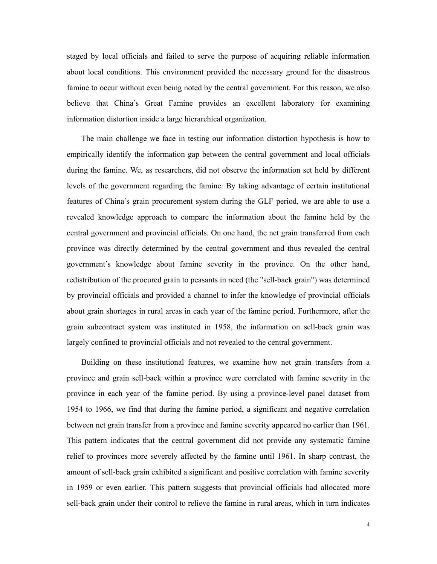staged by local officials and failed to serve the purpose of acquiring reliable information about local conditions. This environment provided the necessary ground for the disastrous famine to occur without even being noted by the central government. For this reason, we also believe that China's Great Famine provides an excellent laboratory for examining information distortion inside a large hierarchical organization.

The main challenge we face in testing our information distortion hypothesis is how to empirically identify the information gap between the central government and local officials during the famine. We, as researchers, did not observe the information set held by different levels of the government regarding the famine. By taking advantage of certain institutional features of China's grain procurement system during the GLF period, we are able to use a revealed knowledge approach to compare the information about the famine held by the central government and provincial officials. On one hand, the net grain transferred from each province was directly determined by the central government and thus revealed the central government's knowledge about famine severity in the province. On the other hand, redistribution of the procured grain to peasants in need (the "sell-back grain") was determined by provincial officials and provided a channel to infer the knowledge of provincial officials about grain shortages in rural areas in each year of the famine period. Furthermore, after the grain subcontract system was instituted in 1958, the information on sell-back grain was largely confined to provincial officials and not revealed to the central government.

Building on these institutional features, we examine how net grain transfers from a province and grain sell-back within a province were correlated with famine severity in the province in each year of the famine period. By using a province-level panel dataset from 1954 to 1966, we find that during the famine period, a significant and negative correlation between net grain transfer from a province and famine severity appeared no earlier than 1961. This pattern indicates that the central government did not provide any systematic famine relief to provinces more severely affected by the famine until 1961. In sharp contrast, the amount of sell-back grain exhibited a significant and positive correlation with famine severity in 1959 or even earlier. This pattern suggests that provincial officials had allocated more sell-back grain under their control to relieve the famine in rural areas, which in turn indicates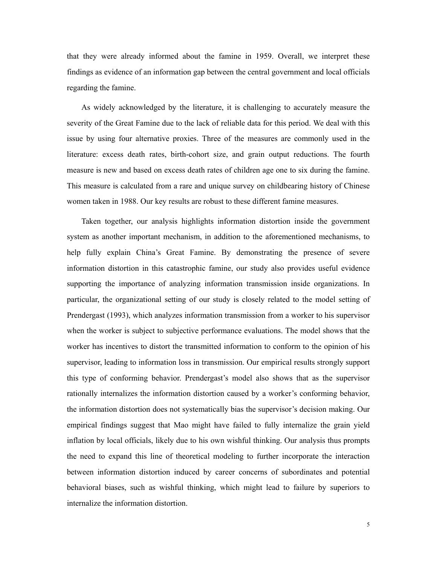that they were already informed about the famine in 1959. Overall, we interpret these findings as evidence of an information gap between the central government and local officials regarding the famine.

As widely acknowledged by the literature, it is challenging to accurately measure the severity of the Great Famine due to the lack of reliable data for this period. We deal with this issue by using four alternative proxies. Three of the measures are commonly used in the literature: excess death rates, birth-cohort size, and grain output reductions. The fourth measure is new and based on excess death rates of children age one to six during the famine. This measure is calculated from a rare and unique survey on childbearing history of Chinese women taken in 1988. Our key results are robust to these different famine measures.

Taken together, our analysis highlights information distortion inside the government system as another important mechanism, in addition to the aforementioned mechanisms, to help fully explain China's Great Famine. By demonstrating the presence of severe information distortion in this catastrophic famine, our study also provides useful evidence supporting the importance of analyzing information transmission inside organizations. In particular, the organizational setting of our study is closely related to the model setting of Prendergast (1993), which analyzes information transmission from a worker to his supervisor when the worker is subject to subjective performance evaluations. The model shows that the worker has incentives to distort the transmitted information to conform to the opinion of his supervisor, leading to information loss in transmission. Our empirical results strongly support this type of conforming behavior. Prendergast's model also shows that as the supervisor rationally internalizes the information distortion caused by a worker's conforming behavior, the information distortion does not systematically bias the supervisor's decision making. Our empirical findings suggest that Mao might have failed to fully internalize the grain yield inflation by local officials, likely due to his own wishful thinking. Our analysis thus prompts the need to expand this line of theoretical modeling to further incorporate the interaction between information distortion induced by career concerns of subordinates and potential behavioral biases, such as wishful thinking, which might lead to failure by superiors to internalize the information distortion.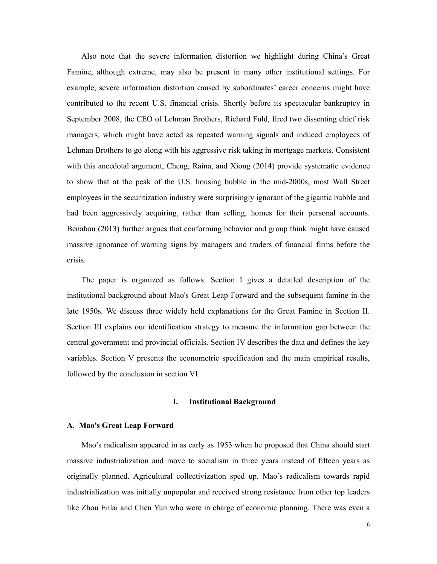Also note that the severe information distortion we highlight during China's Great Famine, although extreme, may also be present in many other institutional settings. For example, severe information distortion caused by subordinates' career concerns might have contributed to the recent U.S. financial crisis. Shortly before its spectacular bankruptcy in September 2008, the CEO of Lehman Brothers, Richard Fuld, fired two dissenting chief risk managers, which might have acted as repeated warning signals and induced employees of Lehman Brothers to go along with his aggressive risk taking in mortgage markets. Consistent with this anecdotal argument, Cheng, Raina, and Xiong (2014) provide systematic evidence to show that at the peak of the U.S. housing bubble in the mid-2000s, most Wall Street employees in the securitization industry were surprisingly ignorant of the gigantic bubble and had been aggressively acquiring, rather than selling, homes for their personal accounts. Benabou (2013) further argues that conforming behavior and group think might have caused massive ignorance of warning signs by managers and traders of financial firms before the crisis.

The paper is organized as follows. Section I gives a detailed description of the institutional background about Mao's Great Leap Forward and the subsequent famine in the late 1950s. We discuss three widely held explanations for the Great Famine in Section II. Section III explains our identification strategy to measure the information gap between the central government and provincial officials. Section IV describes the data and defines the key variables. Section V presents the econometric specification and the main empirical results, followed by the conclusion in section VI.

### **I. Institutional Background**

#### **A. Mao's Great Leap Forward**

Mao's radicalism appeared in as early as 1953 when he proposed that China should start massive industrialization and move to socialism in three years instead of fifteen years as originally planned. Agricultural collectivization sped up. Mao's radicalism towards rapid industrialization was initially unpopular and received strong resistance from other top leaders like Zhou Enlai and Chen Yun who were in charge of economic planning. There was even a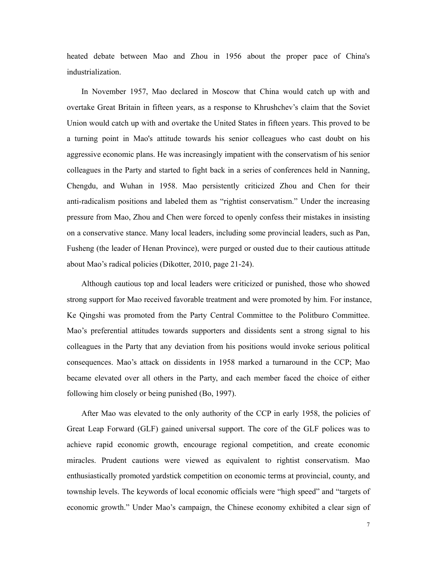heated debate between Mao and Zhou in 1956 about the proper pace of China's industrialization.

In November 1957, Mao declared in Moscow that China would catch up with and overtake Great Britain in fifteen years, as a response to Khrushchev's claim that the Soviet Union would catch up with and overtake the United States in fifteen years. This proved to be a turning point in Mao's attitude towards his senior colleagues who cast doubt on his aggressive economic plans. He was increasingly impatient with the conservatism of his senior colleagues in the Party and started to fight back in a series of conferences held in Nanning, Chengdu, and Wuhan in 1958. Mao persistently criticized Zhou and Chen for their anti-radicalism positions and labeled them as "rightist conservatism." Under the increasing pressure from Mao, Zhou and Chen were forced to openly confess their mistakes in insisting on a conservative stance. Many local leaders, including some provincial leaders, such as Pan, Fusheng (the leader of Henan Province), were purged or ousted due to their cautious attitude about Mao's radical policies (Dikotter, 2010, page 21-24).

Although cautious top and local leaders were criticized or punished, those who showed strong support for Mao received favorable treatment and were promoted by him. For instance, Ke Qingshi was promoted from the Party Central Committee to the Politburo Committee. Mao's preferential attitudes towards supporters and dissidents sent a strong signal to his colleagues in the Party that any deviation from his positions would invoke serious political consequences. Mao's attack on dissidents in 1958 marked a turnaround in the CCP; Mao became elevated over all others in the Party, and each member faced the choice of either following him closely or being punished (Bo, 1997).

After Mao was elevated to the only authority of the CCP in early 1958, the policies of Great Leap Forward (GLF) gained universal support. The core of the GLF polices was to achieve rapid economic growth, encourage regional competition, and create economic miracles. Prudent cautions were viewed as equivalent to rightist conservatism. Mao enthusiastically promoted yardstick competition on economic terms at provincial, county, and township levels. The keywords of local economic officials were "high speed" and "targets of economic growth." Under Mao's campaign, the Chinese economy exhibited a clear sign of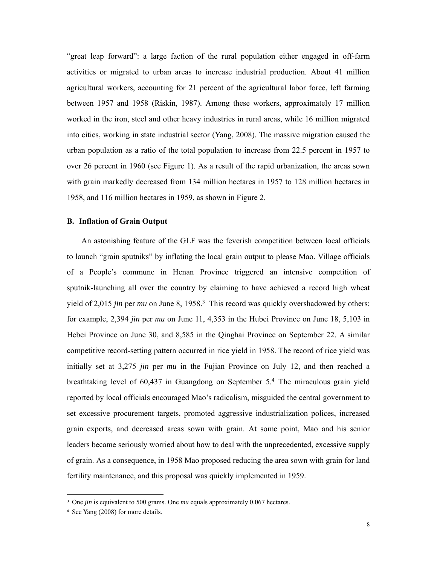"great leap forward": a large faction of the rural population either engaged in off-farm activities or migrated to urban areas to increase industrial production. About 41 million agricultural workers, accounting for 21 percent of the agricultural labor force, left farming between 1957 and 1958 (Riskin, 1987). Among these workers, approximately 17 million worked in the iron, steel and other heavy industries in rural areas, while 16 million migrated into cities, working in state industrial sector (Yang, 2008). The massive migration caused the urban population as a ratio of the total population to increase from 22.5 percent in 1957 to over 26 percent in 1960 (see Figure 1). As a result of the rapid urbanization, the areas sown with grain markedly decreased from 134 million hectares in 1957 to 128 million hectares in 1958, and 116 million hectares in 1959, as shown in Figure 2.

# **B. Inflation of Grain Output**

An astonishing feature of the GLF was the feverish competition between local officials to launch "grain sputniks" by inflating the local grain output to please Mao. Village officials of a People's commune in Henan Province triggered an intensive competition of sputnik-launching all over the country by claiming to have achieved a record high wheat yield of 2,015 *jin* per *mu* on June 8, 1958.<sup>3</sup> This record was quickly overshadowed by others: for example, 2,394 *jin* per *mu* on June 11, 4,353 in the Hubei Province on June 18, 5,103 in Hebei Province on June 30, and 8,585 in the Qinghai Province on September 22. A similar competitive record-setting pattern occurred in rice yield in 1958. The record of rice yield was initially set at 3,275 *jin* per *mu* in the Fujian Province on July 12, and then reached a breathtaking level of 60,437 in Guangdong on September 5.4 The miraculous grain yield reported by local officials encouraged Mao's radicalism, misguided the central government to set excessive procurement targets, promoted aggressive industrialization polices, increased grain exports, and decreased areas sown with grain. At some point, Mao and his senior leaders became seriously worried about how to deal with the unprecedented, excessive supply of grain. As a consequence, in 1958 Mao proposed reducing the area sown with grain for land fertility maintenance, and this proposal was quickly implemented in 1959.

-

<sup>&</sup>lt;sup>3</sup> One *jin* is equivalent to 500 grams. One *mu* equals approximately 0.067 hectares.

<sup>4</sup> See Yang (2008) for more details.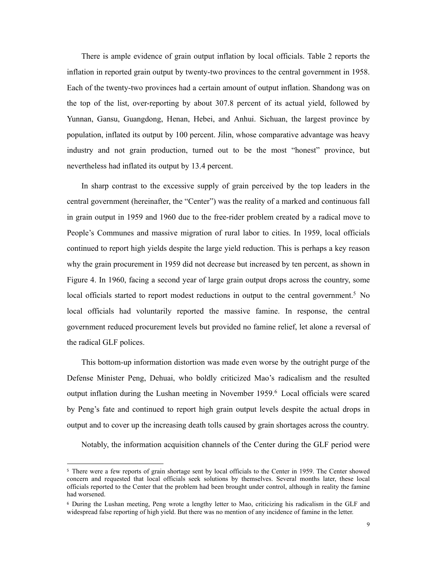There is ample evidence of grain output inflation by local officials. Table 2 reports the inflation in reported grain output by twenty-two provinces to the central government in 1958. Each of the twenty-two provinces had a certain amount of output inflation. Shandong was on the top of the list, over-reporting by about 307.8 percent of its actual yield, followed by Yunnan, Gansu, Guangdong, Henan, Hebei, and Anhui. Sichuan, the largest province by population, inflated its output by 100 percent. Jilin, whose comparative advantage was heavy industry and not grain production, turned out to be the most "honest" province, but nevertheless had inflated its output by 13.4 percent.

In sharp contrast to the excessive supply of grain perceived by the top leaders in the central government (hereinafter, the "Center") was the reality of a marked and continuous fall in grain output in 1959 and 1960 due to the free-rider problem created by a radical move to People's Communes and massive migration of rural labor to cities. In 1959, local officials continued to report high yields despite the large yield reduction. This is perhaps a key reason why the grain procurement in 1959 did not decrease but increased by ten percent, as shown in Figure 4. In 1960, facing a second year of large grain output drops across the country, some local officials started to report modest reductions in output to the central government.<sup>5</sup> No local officials had voluntarily reported the massive famine. In response, the central government reduced procurement levels but provided no famine relief, let alone a reversal of the radical GLF polices.

This bottom-up information distortion was made even worse by the outright purge of the Defense Minister Peng, Dehuai, who boldly criticized Mao's radicalism and the resulted output inflation during the Lushan meeting in November 1959.6 Local officials were scared by Peng's fate and continued to report high grain output levels despite the actual drops in output and to cover up the increasing death tolls caused by grain shortages across the country.

Notably, the information acquisition channels of the Center during the GLF period were

1

<sup>5</sup> There were a few reports of grain shortage sent by local officials to the Center in 1959. The Center showed concern and requested that local officials seek solutions by themselves. Several months later, these local officials reported to the Center that the problem had been brought under control, although in reality the famine had worsened.

<sup>6</sup> During the Lushan meeting, Peng wrote a lengthy letter to Mao, criticizing his radicalism in the GLF and widespread false reporting of high yield. But there was no mention of any incidence of famine in the letter.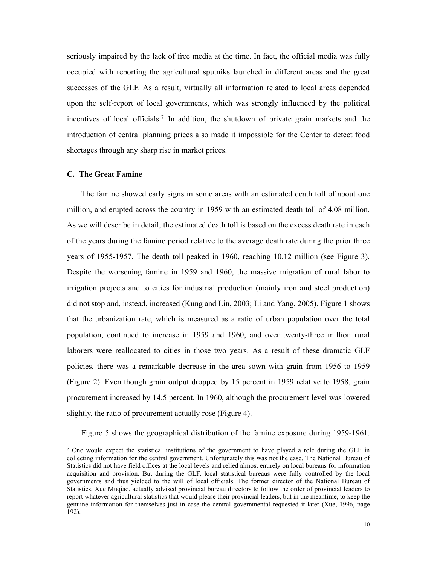seriously impaired by the lack of free media at the time. In fact, the official media was fully occupied with reporting the agricultural sputniks launched in different areas and the great successes of the GLF. As a result, virtually all information related to local areas depended upon the self-report of local governments, which was strongly influenced by the political incentives of local officials.7 In addition, the shutdown of private grain markets and the introduction of central planning prices also made it impossible for the Center to detect food shortages through any sharp rise in market prices.

# **C. The Great Famine**

-

The famine showed early signs in some areas with an estimated death toll of about one million, and erupted across the country in 1959 with an estimated death toll of 4.08 million. As we will describe in detail, the estimated death toll is based on the excess death rate in each of the years during the famine period relative to the average death rate during the prior three years of 1955-1957. The death toll peaked in 1960, reaching 10.12 million (see Figure 3). Despite the worsening famine in 1959 and 1960, the massive migration of rural labor to irrigation projects and to cities for industrial production (mainly iron and steel production) did not stop and, instead, increased (Kung and Lin, 2003; Li and Yang, 2005). Figure 1 shows that the urbanization rate, which is measured as a ratio of urban population over the total population, continued to increase in 1959 and 1960, and over twenty-three million rural laborers were reallocated to cities in those two years. As a result of these dramatic GLF policies, there was a remarkable decrease in the area sown with grain from 1956 to 1959 (Figure 2). Even though grain output dropped by 15 percent in 1959 relative to 1958, grain procurement increased by 14.5 percent. In 1960, although the procurement level was lowered slightly, the ratio of procurement actually rose (Figure 4).

Figure 5 shows the geographical distribution of the famine exposure during 1959-1961.

<sup>7</sup> One would expect the statistical institutions of the government to have played a role during the GLF in collecting information for the central government. Unfortunately this was not the case. The National Bureau of Statistics did not have field offices at the local levels and relied almost entirely on local bureaus for information acquisition and provision. But during the GLF, local statistical bureaus were fully controlled by the local governments and thus yielded to the will of local officials. The former director of the National Bureau of Statistics, Xue Muqiao, actually advised provincial bureau directors to follow the order of provincial leaders to report whatever agricultural statistics that would please their provincial leaders, but in the meantime, to keep the genuine information for themselves just in case the central governmental requested it later (Xue, 1996, page 192).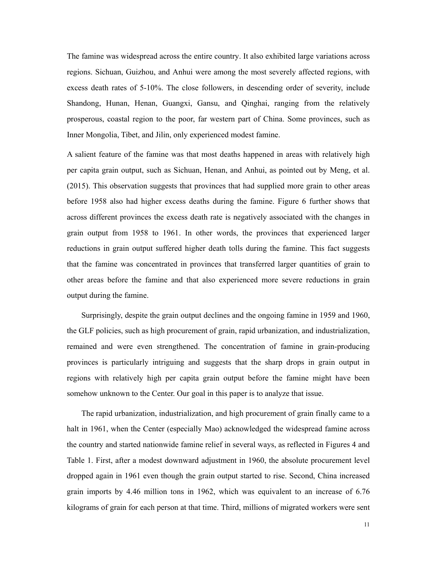The famine was widespread across the entire country. It also exhibited large variations across regions. Sichuan, Guizhou, and Anhui were among the most severely affected regions, with excess death rates of 5-10%. The close followers, in descending order of severity, include Shandong, Hunan, Henan, Guangxi, Gansu, and Qinghai, ranging from the relatively prosperous, coastal region to the poor, far western part of China. Some provinces, such as Inner Mongolia, Tibet, and Jilin, only experienced modest famine.

A salient feature of the famine was that most deaths happened in areas with relatively high per capita grain output, such as Sichuan, Henan, and Anhui, as pointed out by Meng, et al. (2015). This observation suggests that provinces that had supplied more grain to other areas before 1958 also had higher excess deaths during the famine. Figure 6 further shows that across different provinces the excess death rate is negatively associated with the changes in grain output from 1958 to 1961. In other words, the provinces that experienced larger reductions in grain output suffered higher death tolls during the famine. This fact suggests that the famine was concentrated in provinces that transferred larger quantities of grain to other areas before the famine and that also experienced more severe reductions in grain output during the famine.

Surprisingly, despite the grain output declines and the ongoing famine in 1959 and 1960, the GLF policies, such as high procurement of grain, rapid urbanization, and industrialization, remained and were even strengthened. The concentration of famine in grain-producing provinces is particularly intriguing and suggests that the sharp drops in grain output in regions with relatively high per capita grain output before the famine might have been somehow unknown to the Center. Our goal in this paper is to analyze that issue.

The rapid urbanization, industrialization, and high procurement of grain finally came to a halt in 1961, when the Center (especially Mao) acknowledged the widespread famine across the country and started nationwide famine relief in several ways, as reflected in Figures 4 and Table 1. First, after a modest downward adjustment in 1960, the absolute procurement level dropped again in 1961 even though the grain output started to rise. Second, China increased grain imports by 4.46 million tons in 1962, which was equivalent to an increase of 6.76 kilograms of grain for each person at that time. Third, millions of migrated workers were sent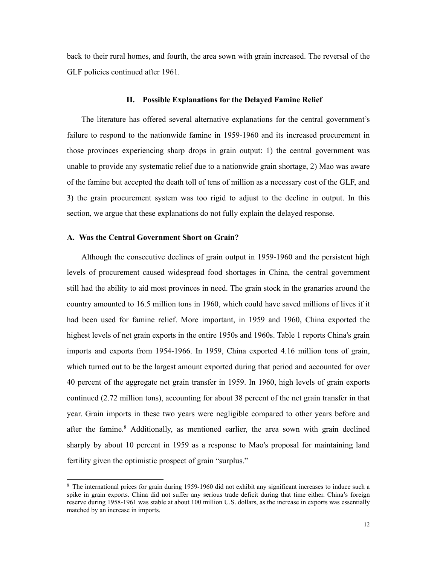back to their rural homes, and fourth, the area sown with grain increased. The reversal of the GLF policies continued after 1961.

#### **II. Possible Explanations for the Delayed Famine Relief**

The literature has offered several alternative explanations for the central government's failure to respond to the nationwide famine in 1959-1960 and its increased procurement in those provinces experiencing sharp drops in grain output: 1) the central government was unable to provide any systematic relief due to a nationwide grain shortage, 2) Mao was aware of the famine but accepted the death toll of tens of million as a necessary cost of the GLF, and 3) the grain procurement system was too rigid to adjust to the decline in output. In this section, we argue that these explanations do not fully explain the delayed response.

## **A. Was the Central Government Short on Grain?**

1

Although the consecutive declines of grain output in 1959-1960 and the persistent high levels of procurement caused widespread food shortages in China, the central government still had the ability to aid most provinces in need. The grain stock in the granaries around the country amounted to 16.5 million tons in 1960, which could have saved millions of lives if it had been used for famine relief. More important, in 1959 and 1960, China exported the highest levels of net grain exports in the entire 1950s and 1960s. Table 1 reports China's grain imports and exports from 1954-1966. In 1959, China exported 4.16 million tons of grain, which turned out to be the largest amount exported during that period and accounted for over 40 percent of the aggregate net grain transfer in 1959. In 1960, high levels of grain exports continued (2.72 million tons), accounting for about 38 percent of the net grain transfer in that year. Grain imports in these two years were negligible compared to other years before and after the famine.<sup>8</sup> Additionally, as mentioned earlier, the area sown with grain declined sharply by about 10 percent in 1959 as a response to Mao's proposal for maintaining land fertility given the optimistic prospect of grain "surplus."

<sup>&</sup>lt;sup>8</sup> The international prices for grain during 1959-1960 did not exhibit any significant increases to induce such a spike in grain exports. China did not suffer any serious trade deficit during that time either. China's foreign reserve during 1958-1961 was stable at about 100 million U.S. dollars, as the increase in exports was essentially matched by an increase in imports.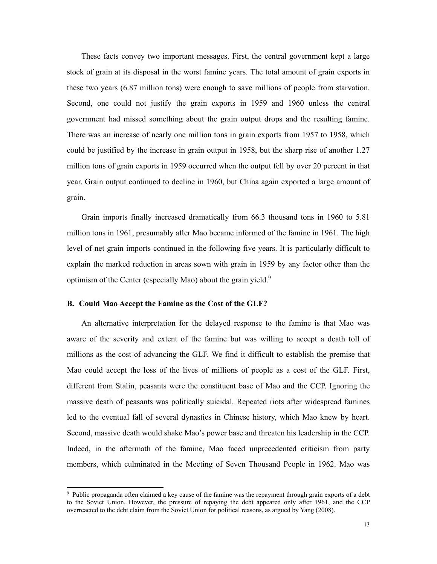These facts convey two important messages. First, the central government kept a large stock of grain at its disposal in the worst famine years. The total amount of grain exports in these two years (6.87 million tons) were enough to save millions of people from starvation. Second, one could not justify the grain exports in 1959 and 1960 unless the central government had missed something about the grain output drops and the resulting famine. There was an increase of nearly one million tons in grain exports from 1957 to 1958, which could be justified by the increase in grain output in 1958, but the sharp rise of another 1.27 million tons of grain exports in 1959 occurred when the output fell by over 20 percent in that year. Grain output continued to decline in 1960, but China again exported a large amount of grain.

Grain imports finally increased dramatically from 66.3 thousand tons in 1960 to 5.81 million tons in 1961, presumably after Mao became informed of the famine in 1961. The high level of net grain imports continued in the following five years. It is particularly difficult to explain the marked reduction in areas sown with grain in 1959 by any factor other than the optimism of the Center (especially Mao) about the grain yield.<sup>9</sup>

## **B. Could Mao Accept the Famine as the Cost of the GLF?**

-

An alternative interpretation for the delayed response to the famine is that Mao was aware of the severity and extent of the famine but was willing to accept a death toll of millions as the cost of advancing the GLF. We find it difficult to establish the premise that Mao could accept the loss of the lives of millions of people as a cost of the GLF. First, different from Stalin, peasants were the constituent base of Mao and the CCP. Ignoring the massive death of peasants was politically suicidal. Repeated riots after widespread famines led to the eventual fall of several dynasties in Chinese history, which Mao knew by heart. Second, massive death would shake Mao's power base and threaten his leadership in the CCP. Indeed, in the aftermath of the famine, Mao faced unprecedented criticism from party members, which culminated in the Meeting of Seven Thousand People in 1962. Mao was

<sup>9</sup> Public propaganda often claimed a key cause of the famine was the repayment through grain exports of a debt to the Soviet Union. However, the pressure of repaying the debt appeared only after 1961, and the CCP overreacted to the debt claim from the Soviet Union for political reasons, as argued by Yang (2008).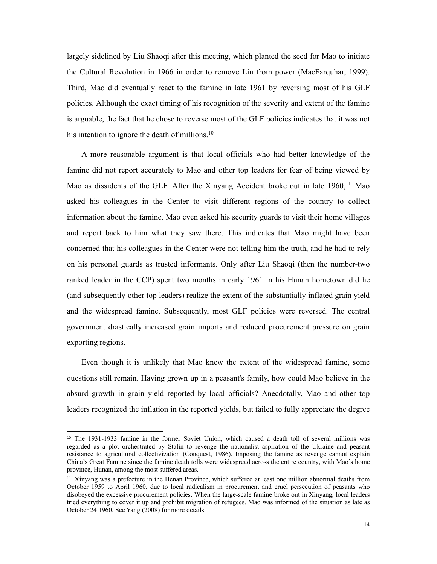largely sidelined by Liu Shaoqi after this meeting, which planted the seed for Mao to initiate the Cultural Revolution in 1966 in order to remove Liu from power (MacFarquhar, 1999). Third, Mao did eventually react to the famine in late 1961 by reversing most of his GLF policies. Although the exact timing of his recognition of the severity and extent of the famine is arguable, the fact that he chose to reverse most of the GLF policies indicates that it was not his intention to ignore the death of millions.<sup>10</sup>

A more reasonable argument is that local officials who had better knowledge of the famine did not report accurately to Mao and other top leaders for fear of being viewed by Mao as dissidents of the GLF. After the Xinyang Accident broke out in late  $1960<sup>11</sup>$  Mao asked his colleagues in the Center to visit different regions of the country to collect information about the famine. Mao even asked his security guards to visit their home villages and report back to him what they saw there. This indicates that Mao might have been concerned that his colleagues in the Center were not telling him the truth, and he had to rely on his personal guards as trusted informants. Only after Liu Shaoqi (then the number-two ranked leader in the CCP) spent two months in early 1961 in his Hunan hometown did he (and subsequently other top leaders) realize the extent of the substantially inflated grain yield and the widespread famine. Subsequently, most GLF policies were reversed. The central government drastically increased grain imports and reduced procurement pressure on grain exporting regions.

Even though it is unlikely that Mao knew the extent of the widespread famine, some questions still remain. Having grown up in a peasant's family, how could Mao believe in the absurd growth in grain yield reported by local officials? Anecdotally, Mao and other top leaders recognized the inflation in the reported yields, but failed to fully appreciate the degree

1

<sup>10</sup> The 1931-1933 famine in the former Soviet Union, which caused a death toll of several millions was regarded as a plot orchestrated by Stalin to revenge the nationalist aspiration of the Ukraine and peasant resistance to agricultural collectivization (Conquest, 1986). Imposing the famine as revenge cannot explain China's Great Famine since the famine death tolls were widespread across the entire country, with Mao's home province, Hunan, among the most suffered areas.

<sup>&</sup>lt;sup>11</sup> Xinyang was a prefecture in the Henan Province, which suffered at least one million abnormal deaths from October 1959 to April 1960, due to local radicalism in procurement and cruel persecution of peasants who disobeyed the excessive procurement policies. When the large-scale famine broke out in Xinyang, local leaders tried everything to cover it up and prohibit migration of refugees. Mao was informed of the situation as late as October 24 1960. See Yang (2008) for more details.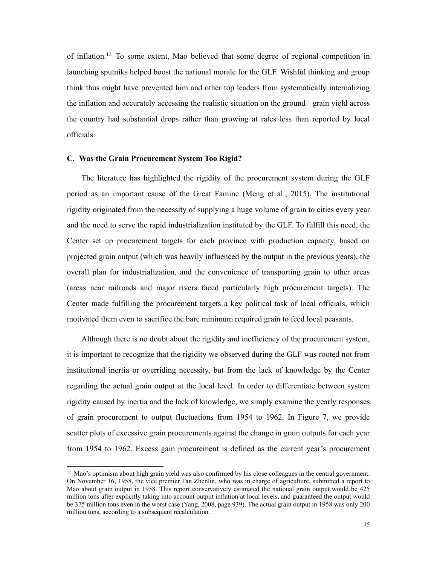of inflation.12 To some extent, Mao believed that some degree of regional competition in launching sputniks helped boost the national morale for the GLF. Wishful thinking and group think thus might have prevented him and other top leaders from systematically internalizing the inflation and accurately accessing the realistic situation on the ground—grain yield across the country had substantial drops rather than growing at rates less than reported by local officials.

### **C. Was the Grain Procurement System Too Rigid?**

1

The literature has highlighted the rigidity of the procurement system during the GLF period as an important cause of the Great Famine (Meng et al., 2015). The institutional rigidity originated from the necessity of supplying a huge volume of grain to cities every year and the need to serve the rapid industrialization instituted by the GLF. To fulfill this need, the Center set up procurement targets for each province with production capacity, based on projected grain output (which was heavily influenced by the output in the previous years), the overall plan for industrialization, and the convenience of transporting grain to other areas (areas near railroads and major rivers faced particularly high procurement targets). The Center made fulfilling the procurement targets a key political task of local officials, which motivated them even to sacrifice the bare minimum required grain to feed local peasants.

Although there is no doubt about the rigidity and inefficiency of the procurement system, it is important to recognize that the rigidity we observed during the GLF was rooted not from institutional inertia or overriding necessity, but from the lack of knowledge by the Center regarding the actual grain output at the local level. In order to differentiate between system rigidity caused by inertia and the lack of knowledge, we simply examine the yearly responses of grain procurement to output fluctuations from 1954 to 1962. In Figure 7, we provide scatter plots of excessive grain procurements against the change in grain outputs for each year from 1954 to 1962. Excess gain procurement is defined as the current year's procurement

 $12$  Mao's optimism about high grain yield was also confirmed by his close colleagues in the central government. On November 16, 1958, the vice premier Tan Zhenlin, who was in charge of agriculture, submitted a report to Mao about grain output in 1958. This report conservatively estimated the national grain output would be 425 million tons after explicitly taking into account output inflation at local levels, and guaranteed the output would be 375 million tons even in the worst case (Yang, 2008, page 939). The actual grain output in 1958 was only 200 million tons, according to a subsequent recalculation.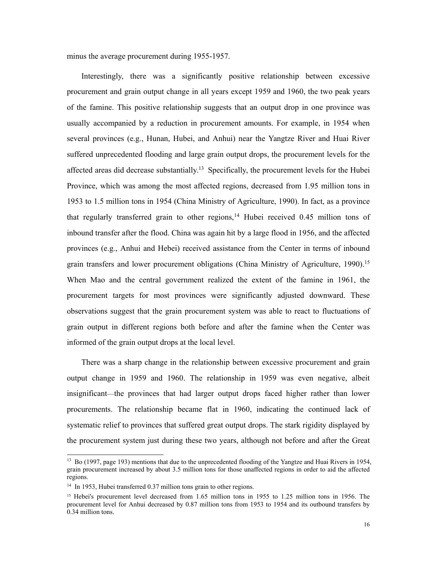minus the average procurement during 1955-1957.

Interestingly, there was a significantly positive relationship between excessive procurement and grain output change in all years except 1959 and 1960, the two peak years of the famine. This positive relationship suggests that an output drop in one province was usually accompanied by a reduction in procurement amounts. For example, in 1954 when several provinces (e.g., Hunan, Hubei, and Anhui) near the Yangtze River and Huai River suffered unprecedented flooding and large grain output drops, the procurement levels for the affected areas did decrease substantially.<sup>13</sup> Specifically, the procurement levels for the Hubei Province, which was among the most affected regions, decreased from 1.95 million tons in 1953 to 1.5 million tons in 1954 (China Ministry of Agriculture, 1990). In fact, as a province that regularly transferred grain to other regions,<sup>14</sup> Hubei received  $0.45$  million tons of inbound transfer after the flood. China was again hit by a large flood in 1956, and the affected provinces (e.g., Anhui and Hebei) received assistance from the Center in terms of inbound grain transfers and lower procurement obligations (China Ministry of Agriculture, 1990).<sup>15</sup> When Mao and the central government realized the extent of the famine in 1961, the procurement targets for most provinces were significantly adjusted downward. These observations suggest that the grain procurement system was able to react to fluctuations of grain output in different regions both before and after the famine when the Center was informed of the grain output drops at the local level.

There was a sharp change in the relationship between excessive procurement and grain output change in 1959 and 1960. The relationship in 1959 was even negative, albeit insignificant—the provinces that had larger output drops faced higher rather than lower procurements. The relationship became flat in 1960, indicating the continued lack of systematic relief to provinces that suffered great output drops. The stark rigidity displayed by the procurement system just during these two years, although not before and after the Great

1

<sup>&</sup>lt;sup>13</sup> Bo (1997, page 193) mentions that due to the unprecedented flooding of the Yangtze and Huai Rivers in 1954, grain procurement increased by about 3.5 million tons for those unaffected regions in order to aid the affected regions.

<sup>&</sup>lt;sup>14</sup> In 1953, Hubei transferred 0.37 million tons grain to other regions.

<sup>&</sup>lt;sup>15</sup> Hebei's procurement level decreased from 1.65 million tons in 1955 to 1.25 million tons in 1956. The procurement level for Anhui decreased by 0.87 million tons from 1953 to 1954 and its outbound transfers by 0.34 million tons.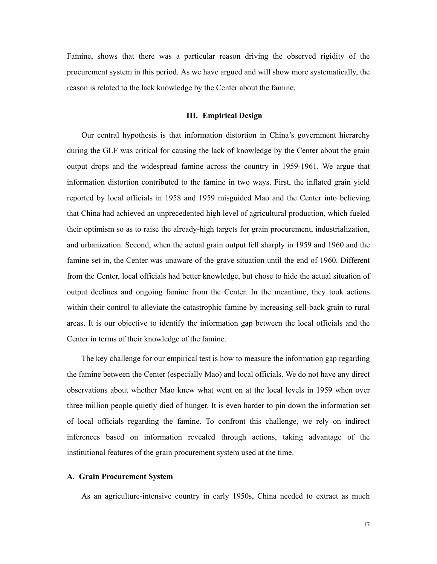Famine, shows that there was a particular reason driving the observed rigidity of the procurement system in this period. As we have argued and will show more systematically, the reason is related to the lack knowledge by the Center about the famine.

## **III. Empirical Design**

Our central hypothesis is that information distortion in China's government hierarchy during the GLF was critical for causing the lack of knowledge by the Center about the grain output drops and the widespread famine across the country in 1959-1961. We argue that information distortion contributed to the famine in two ways. First, the inflated grain yield reported by local officials in 1958 and 1959 misguided Mao and the Center into believing that China had achieved an unprecedented high level of agricultural production, which fueled their optimism so as to raise the already-high targets for grain procurement, industrialization, and urbanization. Second, when the actual grain output fell sharply in 1959 and 1960 and the famine set in, the Center was unaware of the grave situation until the end of 1960. Different from the Center, local officials had better knowledge, but chose to hide the actual situation of output declines and ongoing famine from the Center. In the meantime, they took actions within their control to alleviate the catastrophic famine by increasing sell-back grain to rural areas. It is our objective to identify the information gap between the local officials and the Center in terms of their knowledge of the famine.

The key challenge for our empirical test is how to measure the information gap regarding the famine between the Center (especially Mao) and local officials. We do not have any direct observations about whether Mao knew what went on at the local levels in 1959 when over three million people quietly died of hunger. It is even harder to pin down the information set of local officials regarding the famine. To confront this challenge, we rely on indirect inferences based on information revealed through actions, taking advantage of the institutional features of the grain procurement system used at the time.

## **A. Grain Procurement System**

As an agriculture-intensive country in early 1950s, China needed to extract as much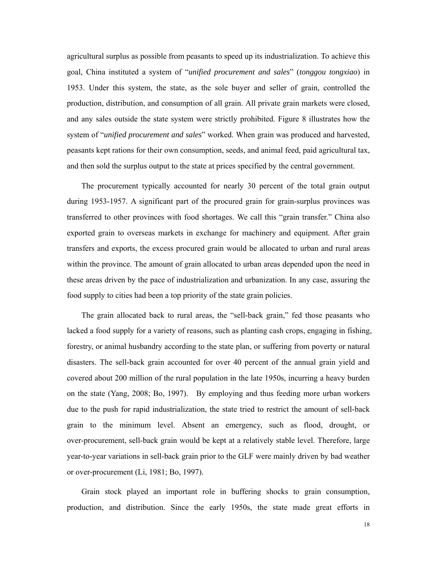agricultural surplus as possible from peasants to speed up its industrialization. To achieve this goal, China instituted a system of "*unified procurement and sales*" (*tonggou tongxiao*) in 1953. Under this system, the state, as the sole buyer and seller of grain, controlled the production, distribution, and consumption of all grain. All private grain markets were closed, and any sales outside the state system were strictly prohibited. Figure 8 illustrates how the system of "*unified procurement and sales*" worked. When grain was produced and harvested, peasants kept rations for their own consumption, seeds, and animal feed, paid agricultural tax, and then sold the surplus output to the state at prices specified by the central government.

The procurement typically accounted for nearly 30 percent of the total grain output during 1953-1957. A significant part of the procured grain for grain-surplus provinces was transferred to other provinces with food shortages. We call this "grain transfer." China also exported grain to overseas markets in exchange for machinery and equipment. After grain transfers and exports, the excess procured grain would be allocated to urban and rural areas within the province. The amount of grain allocated to urban areas depended upon the need in these areas driven by the pace of industrialization and urbanization. In any case, assuring the food supply to cities had been a top priority of the state grain policies.

The grain allocated back to rural areas, the "sell-back grain," fed those peasants who lacked a food supply for a variety of reasons, such as planting cash crops, engaging in fishing, forestry, or animal husbandry according to the state plan, or suffering from poverty or natural disasters. The sell-back grain accounted for over 40 percent of the annual grain yield and covered about 200 million of the rural population in the late 1950s, incurring a heavy burden on the state (Yang, 2008; Bo, 1997). By employing and thus feeding more urban workers due to the push for rapid industrialization, the state tried to restrict the amount of sell-back grain to the minimum level. Absent an emergency, such as flood, drought, or over-procurement, sell-back grain would be kept at a relatively stable level. Therefore, large year-to-year variations in sell-back grain prior to the GLF were mainly driven by bad weather or over-procurement (Li, 1981; Bo, 1997).

Grain stock played an important role in buffering shocks to grain consumption, production, and distribution. Since the early 1950s, the state made great efforts in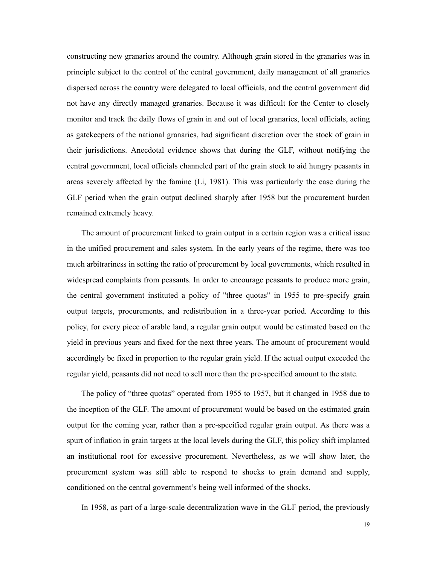constructing new granaries around the country. Although grain stored in the granaries was in principle subject to the control of the central government, daily management of all granaries dispersed across the country were delegated to local officials, and the central government did not have any directly managed granaries. Because it was difficult for the Center to closely monitor and track the daily flows of grain in and out of local granaries, local officials, acting as gatekeepers of the national granaries, had significant discretion over the stock of grain in their jurisdictions. Anecdotal evidence shows that during the GLF, without notifying the central government, local officials channeled part of the grain stock to aid hungry peasants in areas severely affected by the famine (Li, 1981). This was particularly the case during the GLF period when the grain output declined sharply after 1958 but the procurement burden remained extremely heavy.

The amount of procurement linked to grain output in a certain region was a critical issue in the unified procurement and sales system. In the early years of the regime, there was too much arbitrariness in setting the ratio of procurement by local governments, which resulted in widespread complaints from peasants. In order to encourage peasants to produce more grain, the central government instituted a policy of "three quotas" in 1955 to pre-specify grain output targets, procurements, and redistribution in a three-year period. According to this policy, for every piece of arable land, a regular grain output would be estimated based on the yield in previous years and fixed for the next three years. The amount of procurement would accordingly be fixed in proportion to the regular grain yield. If the actual output exceeded the regular yield, peasants did not need to sell more than the pre-specified amount to the state.

The policy of "three quotas" operated from 1955 to 1957, but it changed in 1958 due to the inception of the GLF. The amount of procurement would be based on the estimated grain output for the coming year, rather than a pre-specified regular grain output. As there was a spurt of inflation in grain targets at the local levels during the GLF, this policy shift implanted an institutional root for excessive procurement. Nevertheless, as we will show later, the procurement system was still able to respond to shocks to grain demand and supply, conditioned on the central government's being well informed of the shocks.

In 1958, as part of a large-scale decentralization wave in the GLF period, the previously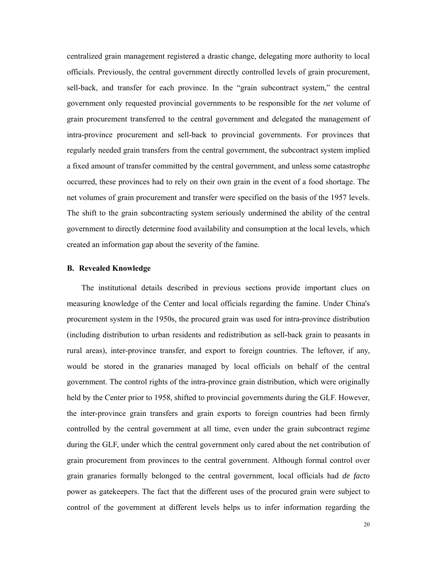centralized grain management registered a drastic change, delegating more authority to local officials. Previously, the central government directly controlled levels of grain procurement, sell-back, and transfer for each province. In the "grain subcontract system," the central government only requested provincial governments to be responsible for the *net* volume of grain procurement transferred to the central government and delegated the management of intra-province procurement and sell-back to provincial governments. For provinces that regularly needed grain transfers from the central government, the subcontract system implied a fixed amount of transfer committed by the central government, and unless some catastrophe occurred, these provinces had to rely on their own grain in the event of a food shortage. The net volumes of grain procurement and transfer were specified on the basis of the 1957 levels. The shift to the grain subcontracting system seriously undermined the ability of the central government to directly determine food availability and consumption at the local levels, which created an information gap about the severity of the famine.

### **B. Revealed Knowledge**

The institutional details described in previous sections provide important clues on measuring knowledge of the Center and local officials regarding the famine. Under China's procurement system in the 1950s, the procured grain was used for intra-province distribution (including distribution to urban residents and redistribution as sell-back grain to peasants in rural areas), inter-province transfer, and export to foreign countries. The leftover, if any, would be stored in the granaries managed by local officials on behalf of the central government. The control rights of the intra-province grain distribution, which were originally held by the Center prior to 1958, shifted to provincial governments during the GLF. However, the inter-province grain transfers and grain exports to foreign countries had been firmly controlled by the central government at all time, even under the grain subcontract regime during the GLF, under which the central government only cared about the net contribution of grain procurement from provinces to the central government. Although formal control over grain granaries formally belonged to the central government, local officials had *de facto* power as gatekeepers. The fact that the different uses of the procured grain were subject to control of the government at different levels helps us to infer information regarding the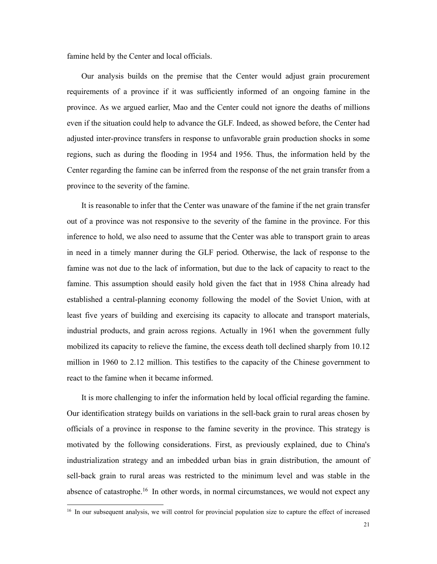famine held by the Center and local officials.

Our analysis builds on the premise that the Center would adjust grain procurement requirements of a province if it was sufficiently informed of an ongoing famine in the province. As we argued earlier, Mao and the Center could not ignore the deaths of millions even if the situation could help to advance the GLF. Indeed, as showed before, the Center had adjusted inter-province transfers in response to unfavorable grain production shocks in some regions, such as during the flooding in 1954 and 1956. Thus, the information held by the Center regarding the famine can be inferred from the response of the net grain transfer from a province to the severity of the famine.

It is reasonable to infer that the Center was unaware of the famine if the net grain transfer out of a province was not responsive to the severity of the famine in the province. For this inference to hold, we also need to assume that the Center was able to transport grain to areas in need in a timely manner during the GLF period. Otherwise, the lack of response to the famine was not due to the lack of information, but due to the lack of capacity to react to the famine. This assumption should easily hold given the fact that in 1958 China already had established a central-planning economy following the model of the Soviet Union, with at least five years of building and exercising its capacity to allocate and transport materials, industrial products, and grain across regions. Actually in 1961 when the government fully mobilized its capacity to relieve the famine, the excess death toll declined sharply from 10.12 million in 1960 to 2.12 million. This testifies to the capacity of the Chinese government to react to the famine when it became informed.

It is more challenging to infer the information held by local official regarding the famine. Our identification strategy builds on variations in the sell-back grain to rural areas chosen by officials of a province in response to the famine severity in the province. This strategy is motivated by the following considerations. First, as previously explained, due to China's industrialization strategy and an imbedded urban bias in grain distribution, the amount of sell-back grain to rural areas was restricted to the minimum level and was stable in the absence of catastrophe.<sup>16</sup> In other words, in normal circumstances, we would not expect any

1

<sup>&</sup>lt;sup>16</sup> In our subsequent analysis, we will control for provincial population size to capture the effect of increased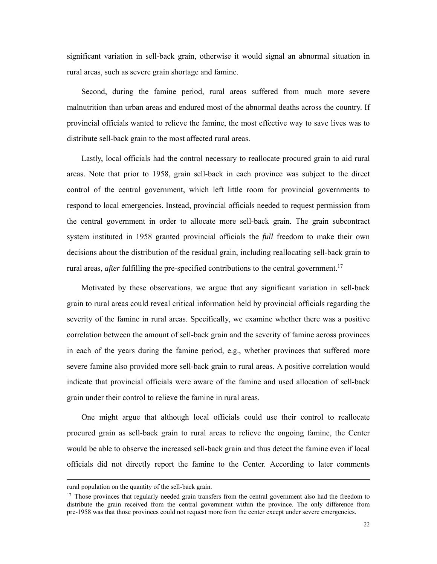significant variation in sell-back grain, otherwise it would signal an abnormal situation in rural areas, such as severe grain shortage and famine.

Second, during the famine period, rural areas suffered from much more severe malnutrition than urban areas and endured most of the abnormal deaths across the country. If provincial officials wanted to relieve the famine, the most effective way to save lives was to distribute sell-back grain to the most affected rural areas.

Lastly, local officials had the control necessary to reallocate procured grain to aid rural areas. Note that prior to 1958, grain sell-back in each province was subject to the direct control of the central government, which left little room for provincial governments to respond to local emergencies. Instead, provincial officials needed to request permission from the central government in order to allocate more sell-back grain. The grain subcontract system instituted in 1958 granted provincial officials the *full* freedom to make their own decisions about the distribution of the residual grain, including reallocating sell-back grain to rural areas, *after* fulfilling the pre-specified contributions to the central government.<sup>17</sup>

Motivated by these observations, we argue that any significant variation in sell-back grain to rural areas could reveal critical information held by provincial officials regarding the severity of the famine in rural areas. Specifically, we examine whether there was a positive correlation between the amount of sell-back grain and the severity of famine across provinces in each of the years during the famine period, e.g., whether provinces that suffered more severe famine also provided more sell-back grain to rural areas. A positive correlation would indicate that provincial officials were aware of the famine and used allocation of sell-back grain under their control to relieve the famine in rural areas.

One might argue that although local officials could use their control to reallocate procured grain as sell-back grain to rural areas to relieve the ongoing famine, the Center would be able to observe the increased sell-back grain and thus detect the famine even if local officials did not directly report the famine to the Center. According to later comments

1

rural population on the quantity of the sell-back grain.

<sup>&</sup>lt;sup>17</sup> Those provinces that regularly needed grain transfers from the central government also had the freedom to distribute the grain received from the central government within the province. The only difference from pre-1958 was that those provinces could not request more from the center except under severe emergencies.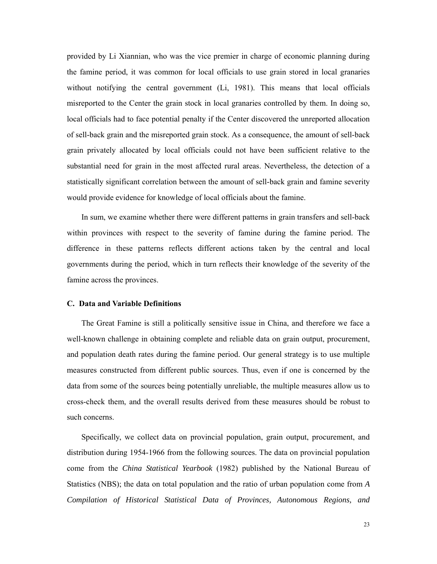provided by Li Xiannian, who was the vice premier in charge of economic planning during the famine period, it was common for local officials to use grain stored in local granaries without notifying the central government (Li, 1981). This means that local officials misreported to the Center the grain stock in local granaries controlled by them. In doing so, local officials had to face potential penalty if the Center discovered the unreported allocation of sell-back grain and the misreported grain stock. As a consequence, the amount of sell-back grain privately allocated by local officials could not have been sufficient relative to the substantial need for grain in the most affected rural areas. Nevertheless, the detection of a statistically significant correlation between the amount of sell-back grain and famine severity would provide evidence for knowledge of local officials about the famine.

In sum, we examine whether there were different patterns in grain transfers and sell-back within provinces with respect to the severity of famine during the famine period. The difference in these patterns reflects different actions taken by the central and local governments during the period, which in turn reflects their knowledge of the severity of the famine across the provinces.

### **C. Data and Variable Definitions**

The Great Famine is still a politically sensitive issue in China, and therefore we face a well-known challenge in obtaining complete and reliable data on grain output, procurement, and population death rates during the famine period. Our general strategy is to use multiple measures constructed from different public sources. Thus, even if one is concerned by the data from some of the sources being potentially unreliable, the multiple measures allow us to cross-check them, and the overall results derived from these measures should be robust to such concerns.

Specifically, we collect data on provincial population, grain output, procurement, and distribution during 1954-1966 from the following sources. The data on provincial population come from the *China Statistical Yearbook* (1982) published by the National Bureau of Statistics (NBS); the data on total population and the ratio of urban population come from *A Compilation of Historical Statistical Data of Provinces, Autonomous Regions, and*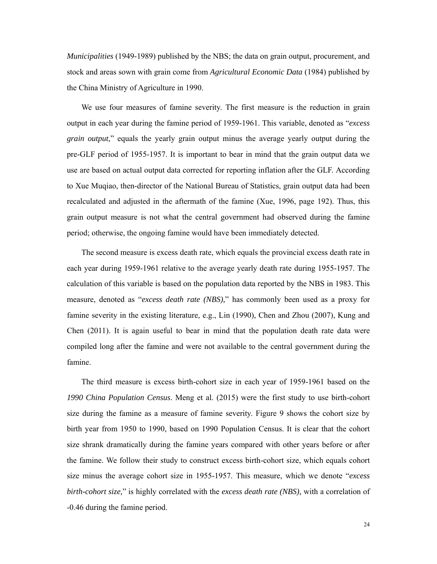*Municipalities* (1949-1989) published by the NBS; the data on grain output, procurement, and stock and areas sown with grain come from *Agricultural Economic Data* (1984) published by the China Ministry of Agriculture in 1990.

We use four measures of famine severity. The first measure is the reduction in grain output in each year during the famine period of 1959-1961. This variable, denoted as "*excess grain output,*" equals the yearly grain output minus the average yearly output during the pre-GLF period of 1955-1957. It is important to bear in mind that the grain output data we use are based on actual output data corrected for reporting inflation after the GLF. According to Xue Muqiao, then-director of the National Bureau of Statistics, grain output data had been recalculated and adjusted in the aftermath of the famine (Xue, 1996, page 192). Thus, this grain output measure is not what the central government had observed during the famine period; otherwise, the ongoing famine would have been immediately detected.

The second measure is excess death rate, which equals the provincial excess death rate in each year during 1959-1961 relative to the average yearly death rate during 1955-1957. The calculation of this variable is based on the population data reported by the NBS in 1983. This measure, denoted as "*excess death rate (NBS),*" has commonly been used as a proxy for famine severity in the existing literature, e.g., Lin (1990), Chen and Zhou (2007), Kung and Chen (2011). It is again useful to bear in mind that the population death rate data were compiled long after the famine and were not available to the central government during the famine.

The third measure is excess birth-cohort size in each year of 1959-1961 based on the *1990 China Population Census*. Meng et al. (2015) were the first study to use birth-cohort size during the famine as a measure of famine severity. Figure 9 shows the cohort size by birth year from 1950 to 1990, based on 1990 Population Census. It is clear that the cohort size shrank dramatically during the famine years compared with other years before or after the famine. We follow their study to construct excess birth-cohort size, which equals cohort size minus the average cohort size in 1955-1957. This measure, which we denote "*excess birth-cohort size,*" is highly correlated with the *excess death rate (NBS),* with a correlation of -0.46 during the famine period.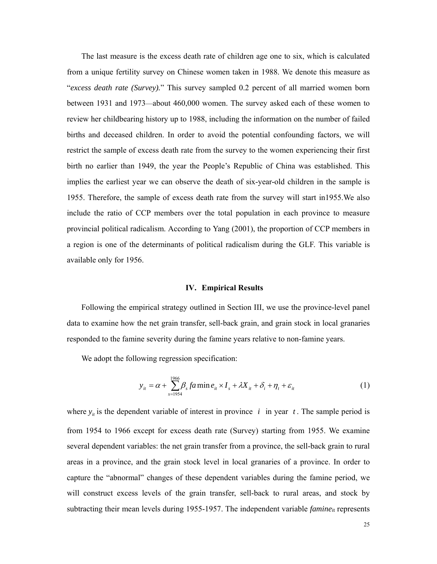The last measure is the excess death rate of children age one to six, which is calculated from a unique fertility survey on Chinese women taken in 1988. We denote this measure as "*excess death rate (Survey).*" This survey sampled 0.2 percent of all married women born between 1931 and 1973—about 460,000 women. The survey asked each of these women to review her childbearing history up to 1988, including the information on the number of failed births and deceased children. In order to avoid the potential confounding factors, we will restrict the sample of excess death rate from the survey to the women experiencing their first birth no earlier than 1949, the year the People's Republic of China was established. This implies the earliest year we can observe the death of six-year-old children in the sample is 1955. Therefore, the sample of excess death rate from the survey will start in1955.We also include the ratio of CCP members over the total population in each province to measure provincial political radicalism. According to Yang (2001), the proportion of CCP members in a region is one of the determinants of political radicalism during the GLF. This variable is available only for 1956.

#### **IV. Empirical Results**

Following the empirical strategy outlined in Section III, we use the province-level panel data to examine how the net grain transfer, sell-back grain, and grain stock in local granaries responded to the famine severity during the famine years relative to non-famine years.

We adopt the following regression specification:

$$
y_{it} = \alpha + \sum_{s=1954}^{1966} \beta_s f a \min e_{it} \times I_s + \lambda X_{it} + \delta_i + \eta_t + \varepsilon_{it}
$$
 (1)

where  $y_i$  is the dependent variable of interest in province *i* in year *t*. The sample period is from 1954 to 1966 except for excess death rate (Survey) starting from 1955. We examine several dependent variables: the net grain transfer from a province, the sell-back grain to rural areas in a province, and the grain stock level in local granaries of a province. In order to capture the "abnormal" changes of these dependent variables during the famine period, we will construct excess levels of the grain transfer, sell-back to rural areas, and stock by subtracting their mean levels during 1955-1957. The independent variable *famine*it represents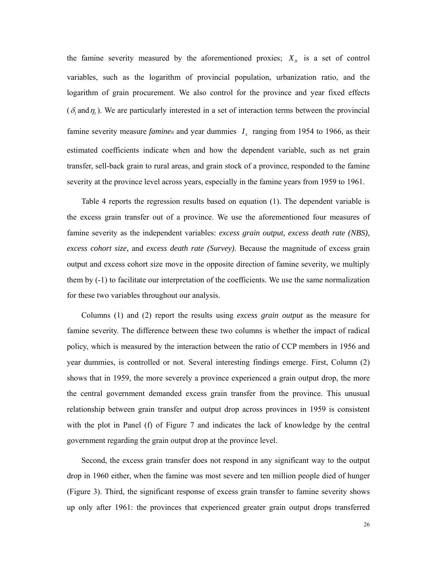the famine severity measured by the aforementioned proxies;  $X_{it}$  is a set of control variables, such as the logarithm of provincial population, urbanization ratio, and the logarithm of grain procurement. We also control for the province and year fixed effects  $(\delta_i$  and  $\eta_i$ ). We are particularly interested in a set of interaction terms between the provincial famine severity measure *famine*<sub>it</sub> and year dummies  $I<sub>s</sub>$  ranging from 1954 to 1966, as their estimated coefficients indicate when and how the dependent variable, such as net grain transfer, sell-back grain to rural areas, and grain stock of a province, responded to the famine severity at the province level across years, especially in the famine years from 1959 to 1961.

Table 4 reports the regression results based on equation (1). The dependent variable is the excess grain transfer out of a province. We use the aforementioned four measures of famine severity as the independent variables: *excess grain output, excess death rate (NBS), excess cohort size,* and *excess death rate (Survey)*. Because the magnitude of excess grain output and excess cohort size move in the opposite direction of famine severity, we multiply them by (-1) to facilitate our interpretation of the coefficients. We use the same normalization for these two variables throughout our analysis.

Columns (1) and (2) report the results using *excess grain output* as the measure for famine severity. The difference between these two columns is whether the impact of radical policy, which is measured by the interaction between the ratio of CCP members in 1956 and year dummies, is controlled or not. Several interesting findings emerge. First, Column (2) shows that in 1959, the more severely a province experienced a grain output drop, the more the central government demanded excess grain transfer from the province. This unusual relationship between grain transfer and output drop across provinces in 1959 is consistent with the plot in Panel (f) of Figure 7 and indicates the lack of knowledge by the central government regarding the grain output drop at the province level.

Second, the excess grain transfer does not respond in any significant way to the output drop in 1960 either, when the famine was most severe and ten million people died of hunger (Figure 3). Third, the significant response of excess grain transfer to famine severity shows up only after 1961: the provinces that experienced greater grain output drops transferred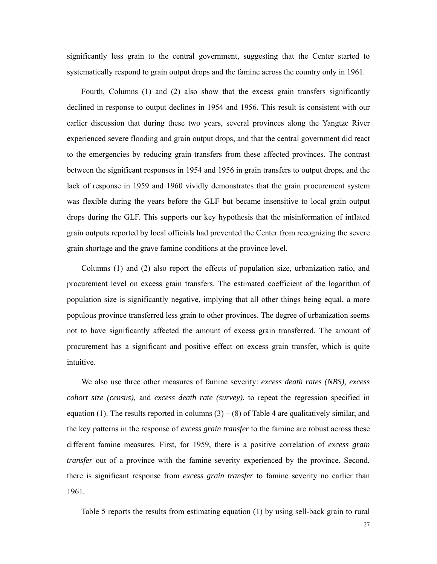significantly less grain to the central government, suggesting that the Center started to systematically respond to grain output drops and the famine across the country only in 1961.

Fourth, Columns (1) and (2) also show that the excess grain transfers significantly declined in response to output declines in 1954 and 1956. This result is consistent with our earlier discussion that during these two years, several provinces along the Yangtze River experienced severe flooding and grain output drops, and that the central government did react to the emergencies by reducing grain transfers from these affected provinces. The contrast between the significant responses in 1954 and 1956 in grain transfers to output drops, and the lack of response in 1959 and 1960 vividly demonstrates that the grain procurement system was flexible during the years before the GLF but became insensitive to local grain output drops during the GLF. This supports our key hypothesis that the misinformation of inflated grain outputs reported by local officials had prevented the Center from recognizing the severe grain shortage and the grave famine conditions at the province level.

Columns (1) and (2) also report the effects of population size, urbanization ratio, and procurement level on excess grain transfers. The estimated coefficient of the logarithm of population size is significantly negative, implying that all other things being equal, a more populous province transferred less grain to other provinces. The degree of urbanization seems not to have significantly affected the amount of excess grain transferred. The amount of procurement has a significant and positive effect on excess grain transfer, which is quite intuitive.

We also use three other measures of famine severity: *excess death rates (NBS), excess cohort size (census),* and *excess death rate (survey)*, to repeat the regression specified in equation (1). The results reported in columns  $(3) - (8)$  of Table 4 are qualitatively similar, and the key patterns in the response of *excess grain transfer* to the famine are robust across these different famine measures. First, for 1959, there is a positive correlation of *excess grain transfer* out of a province with the famine severity experienced by the province. Second, there is significant response from *excess grain transfer* to famine severity no earlier than 1961.

Table 5 reports the results from estimating equation (1) by using sell-back grain to rural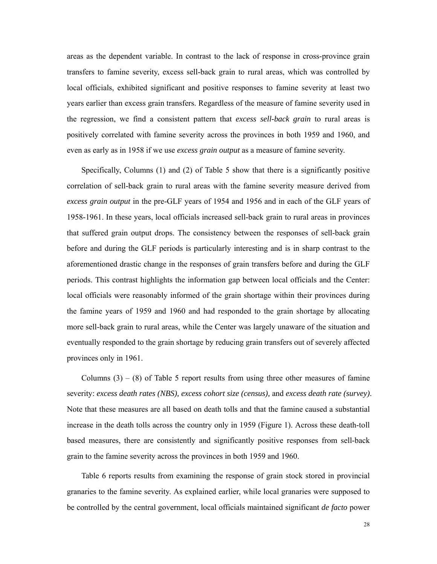areas as the dependent variable. In contrast to the lack of response in cross-province grain transfers to famine severity, excess sell-back grain to rural areas, which was controlled by local officials, exhibited significant and positive responses to famine severity at least two years earlier than excess grain transfers. Regardless of the measure of famine severity used in the regression, we find a consistent pattern that *excess sell-back grain* to rural areas is positively correlated with famine severity across the provinces in both 1959 and 1960, and even as early as in 1958 if we use *excess grain output* as a measure of famine severity.

Specifically, Columns (1) and (2) of Table 5 show that there is a significantly positive correlation of sell-back grain to rural areas with the famine severity measure derived from *excess grain output* in the pre-GLF years of 1954 and 1956 and in each of the GLF years of 1958-1961. In these years, local officials increased sell-back grain to rural areas in provinces that suffered grain output drops. The consistency between the responses of sell-back grain before and during the GLF periods is particularly interesting and is in sharp contrast to the aforementioned drastic change in the responses of grain transfers before and during the GLF periods. This contrast highlights the information gap between local officials and the Center: local officials were reasonably informed of the grain shortage within their provinces during the famine years of 1959 and 1960 and had responded to the grain shortage by allocating more sell-back grain to rural areas, while the Center was largely unaware of the situation and eventually responded to the grain shortage by reducing grain transfers out of severely affected provinces only in 1961.

Columns  $(3) - (8)$  of Table 5 report results from using three other measures of famine severity: *excess death rates (NBS), excess cohort size (census),* and *excess death rate (survey)*. Note that these measures are all based on death tolls and that the famine caused a substantial increase in the death tolls across the country only in 1959 (Figure 1). Across these death-toll based measures, there are consistently and significantly positive responses from sell-back grain to the famine severity across the provinces in both 1959 and 1960.

Table 6 reports results from examining the response of grain stock stored in provincial granaries to the famine severity. As explained earlier, while local granaries were supposed to be controlled by the central government, local officials maintained significant *de facto* power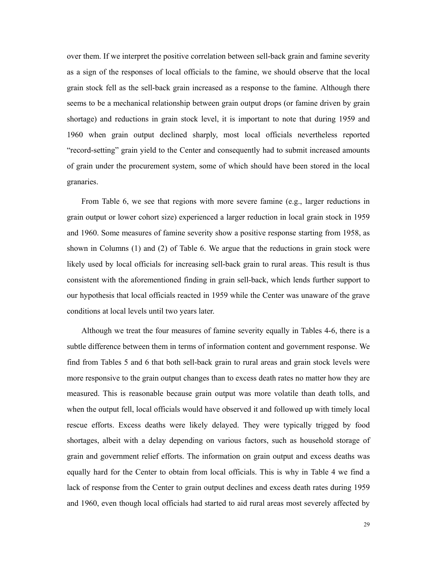over them. If we interpret the positive correlation between sell-back grain and famine severity as a sign of the responses of local officials to the famine, we should observe that the local grain stock fell as the sell-back grain increased as a response to the famine. Although there seems to be a mechanical relationship between grain output drops (or famine driven by grain shortage) and reductions in grain stock level, it is important to note that during 1959 and 1960 when grain output declined sharply, most local officials nevertheless reported "record-setting" grain yield to the Center and consequently had to submit increased amounts of grain under the procurement system, some of which should have been stored in the local granaries.

From Table 6, we see that regions with more severe famine (e.g., larger reductions in grain output or lower cohort size) experienced a larger reduction in local grain stock in 1959 and 1960. Some measures of famine severity show a positive response starting from 1958, as shown in Columns (1) and (2) of Table 6. We argue that the reductions in grain stock were likely used by local officials for increasing sell-back grain to rural areas. This result is thus consistent with the aforementioned finding in grain sell-back, which lends further support to our hypothesis that local officials reacted in 1959 while the Center was unaware of the grave conditions at local levels until two years later.

Although we treat the four measures of famine severity equally in Tables 4-6, there is a subtle difference between them in terms of information content and government response. We find from Tables 5 and 6 that both sell-back grain to rural areas and grain stock levels were more responsive to the grain output changes than to excess death rates no matter how they are measured. This is reasonable because grain output was more volatile than death tolls, and when the output fell, local officials would have observed it and followed up with timely local rescue efforts. Excess deaths were likely delayed. They were typically trigged by food shortages, albeit with a delay depending on various factors, such as household storage of grain and government relief efforts. The information on grain output and excess deaths was equally hard for the Center to obtain from local officials. This is why in Table 4 we find a lack of response from the Center to grain output declines and excess death rates during 1959 and 1960, even though local officials had started to aid rural areas most severely affected by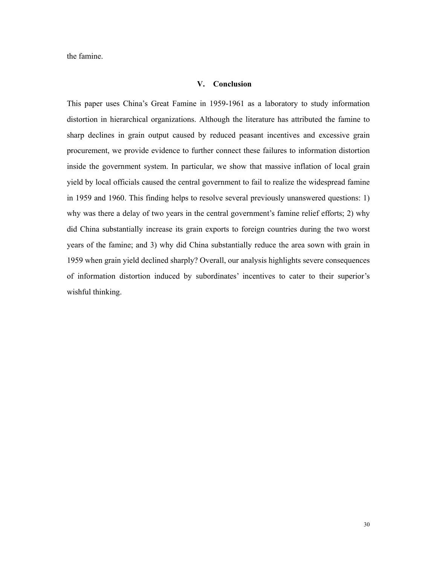the famine.

## **V. Conclusion**

This paper uses China's Great Famine in 1959-1961 as a laboratory to study information distortion in hierarchical organizations. Although the literature has attributed the famine to sharp declines in grain output caused by reduced peasant incentives and excessive grain procurement, we provide evidence to further connect these failures to information distortion inside the government system. In particular, we show that massive inflation of local grain yield by local officials caused the central government to fail to realize the widespread famine in 1959 and 1960. This finding helps to resolve several previously unanswered questions: 1) why was there a delay of two years in the central government's famine relief efforts; 2) why did China substantially increase its grain exports to foreign countries during the two worst years of the famine; and 3) why did China substantially reduce the area sown with grain in 1959 when grain yield declined sharply? Overall, our analysis highlights severe consequences of information distortion induced by subordinates' incentives to cater to their superior's wishful thinking.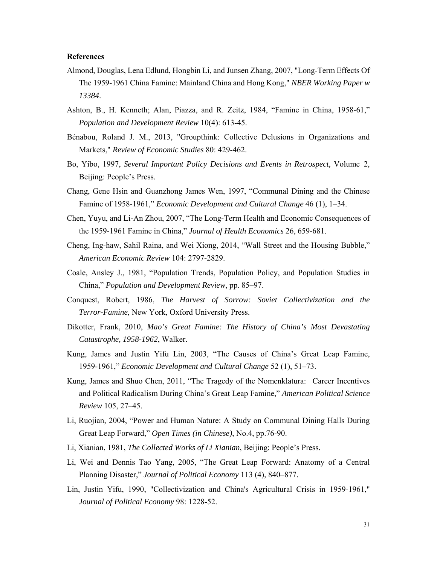# **References**

- Almond, Douglas, Lena Edlund, Hongbin Li, and Junsen Zhang, 2007, "Long-Term Effects Of The 1959-1961 China Famine: Mainland China and Hong Kong," *NBER Working Paper w 13384*.
- Ashton, B., H. Kenneth; Alan, Piazza, and R. Zeitz, 1984, "Famine in China, 1958-61," *Population and Development Review* 10(4): 613-45.
- Bénabou, Roland J. M., 2013, "Groupthink: Collective Delusions in Organizations and Markets," *Review of Economic Studies* 80: 429-462.
- Bo, Yibo, 1997, *Several Important Policy Decisions and Events in Retrospect,* Volume 2, Beijing: People's Press.
- Chang, Gene Hsin and Guanzhong James Wen, 1997, "Communal Dining and the Chinese Famine of 1958-1961," *Economic Development and Cultural Change* 46 (1), 1–34.
- Chen, Yuyu, and Li-An Zhou, 2007, "The Long-Term Health and Economic Consequences of the 1959-1961 Famine in China," *Journal of Health Economics* 26, 659-681.
- Cheng, Ing-haw, Sahil Raina, and Wei Xiong, 2014, "Wall Street and the Housing Bubble," *American Economic Review* 104: 2797-2829.
- Coale, Ansley J., 1981, "Population Trends, Population Policy, and Population Studies in China," *Population and Development Review*, pp. 85–97.
- Conquest, Robert, 1986, *The Harvest of Sorrow: Soviet Collectivization and the Terror-Famine*, New York, Oxford University Press.
- Dikotter, Frank, 2010, *Mao's Great Famine: The History of China's Most Devastating Catastrophe, 1958-1962*, Walker.
- Kung, James and Justin Yifu Lin, 2003, "The Causes of China's Great Leap Famine, 1959-1961," *Economic Development and Cultural Change* 52 (1), 51–73.
- Kung, James and Shuo Chen, 2011, "The Tragedy of the Nomenklatura: Career Incentives and Political Radicalism During China's Great Leap Famine," *American Political Science Review* 105, 27–45.
- Li, Ruojian, 2004, "Power and Human Nature: A Study on Communal Dining Halls During Great Leap Forward," *Open Times (in Chinese)*, No.4, pp.76-90.
- Li, Xianian, 1981, *The Collected Works of Li Xianian*, Beijing: People's Press.
- Li, Wei and Dennis Tao Yang, 2005, "The Great Leap Forward: Anatomy of a Central Planning Disaster," *Journal of Political Economy* 113 (4), 840–877.
- Lin, Justin Yifu, 1990, "Collectivization and China's Agricultural Crisis in 1959-1961," *Journal of Political Economy* 98: 1228-52.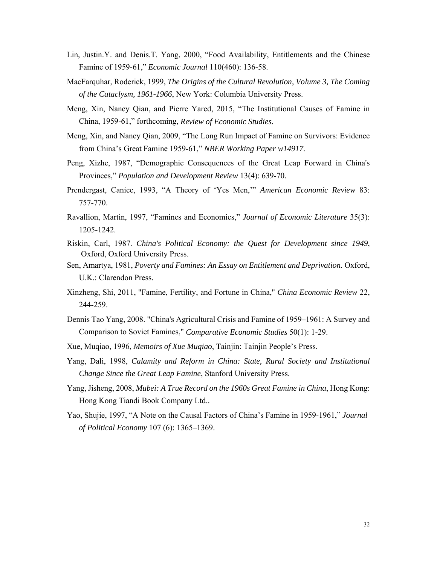- Lin, Justin.Y. and Denis.T. Yang, 2000, "Food Availability, Entitlements and the Chinese Famine of 1959-61," *Economic Journal* 110(460): 136-58.
- MacFarquhar, Roderick, 1999, *The Origins of the Cultural Revolution*, *Volume 3, The Coming of the Cataclysm, 1961-1966*, New York: Columbia University Press.
- Meng, Xin, Nancy Qian, and Pierre Yared, 2015, "The Institutional Causes of Famine in China, 1959-61," forthcoming, *Review of Economic Studies.*
- Meng, Xin, and Nancy Qian, 2009, "The Long Run Impact of Famine on Survivors: Evidence from China's Great Famine 1959-61," *NBER Working Paper w14917*.
- Peng, Xizhe, 1987, "Demographic Consequences of the Great Leap Forward in China's Provinces," *Population and Development Review* 13(4): 639-70.
- Prendergast, Canice, 1993, "A Theory of 'Yes Men,'" *American Economic Review* 83: 757-770.
- Ravallion, Martin, 1997, "Famines and Economics," *Journal of Economic Literature* 35(3): 1205-1242.
- Riskin, Carl, 1987. *China's Political Economy: the Quest for Development since 1949*, Oxford, Oxford University Press.
- Sen, Amartya, 1981, *Poverty and Famines: An Essay on Entitlement and Deprivation*. Oxford, U.K.: Clarendon Press.
- Xinzheng, Shi, 2011, "Famine, Fertility, and Fortune in China," *China Economic Review* 22, 244-259.
- Dennis Tao Yang, 2008. "China's Agricultural Crisis and Famine of 1959–1961: A Survey and Comparison to Soviet Famines," *Comparative Economic Studies* 50(1): 1-29.
- Xue, Muqiao, 1996, *Memoirs of Xue Muqiao*, Tainjin: Tainjin People's Press.
- Yang, Dali, 1998, *Calamity and Reform in China: State, Rural Society and Institutional Change Since the Great Leap Famine*, Stanford University Press.
- Yang, Jisheng, 2008, *Mubei: A True Record on the 1960s Great Famine in China*, Hong Kong: Hong Kong Tiandi Book Company Ltd..
- Yao, Shujie, 1997, "A Note on the Causal Factors of China's Famine in 1959-1961," *Journal of Political Economy* 107 (6): 1365–1369.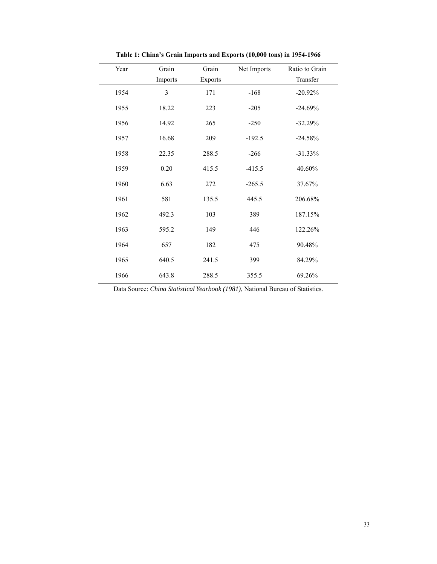| Year | Grain   | Grain   | Net Imports | Ratio to Grain |
|------|---------|---------|-------------|----------------|
|      | Imports | Exports |             | Transfer       |
| 1954 | 3       | 171     | $-168$      | $-20.92%$      |
| 1955 | 18.22   | 223     | $-205$      | $-24.69%$      |
| 1956 | 14.92   | 265     | $-250$      | $-32.29%$      |
| 1957 | 16.68   | 209     | $-192.5$    | $-24.58%$      |
| 1958 | 22.35   | 288.5   | $-266$      | $-31.33%$      |
| 1959 | 0.20    | 415.5   | $-415.5$    | 40.60%         |
| 1960 | 6.63    | 272     | $-265.5$    | 37.67%         |
| 1961 | 581     | 135.5   | 445.5       | 206.68%        |
| 1962 | 492.3   | 103     | 389         | 187.15%        |
| 1963 | 595.2   | 149     | 446         | 122.26%        |
| 1964 | 657     | 182     | 475         | 90.48%         |
| 1965 | 640.5   | 241.5   | 399         | 84.29%         |
| 1966 | 643.8   | 288.5   | 355.5       | 69.26%         |

**Table 1: China's Grain Imports and Exports (10,000 tons) in 1954-1966**

Data Source: *China Statistical Yearbook (1981)*, National Bureau of Statistics.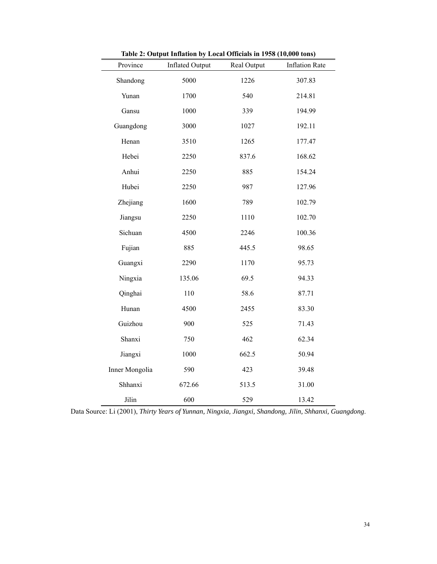| Province       | <b>Inflated Output</b> | Real Output | <b>Inflation Rate</b> |
|----------------|------------------------|-------------|-----------------------|
| Shandong       | 5000                   | 1226        | 307.83                |
| Yunan          | 1700                   | 540         | 214.81                |
| Gansu          | 1000                   | 339         | 194.99                |
| Guangdong      | 3000                   | 1027        | 192.11                |
| Henan          | 3510                   | 1265        | 177.47                |
| Hebei          | 2250                   | 837.6       | 168.62                |
| Anhui          | 2250                   | 885         | 154.24                |
| Hubei          | 2250                   | 987         | 127.96                |
| Zhejiang       | 1600                   | 789         | 102.79                |
| Jiangsu        | 2250                   | 1110        | 102.70                |
| Sichuan        | 4500                   | 2246        | 100.36                |
| Fujian         | 885                    | 445.5       | 98.65                 |
| Guangxi        | 2290                   | 1170        | 95.73                 |
| Ningxia        | 135.06                 | 69.5        | 94.33                 |
| Qinghai        | 110                    | 58.6        | 87.71                 |
| Hunan          | 4500                   | 2455        | 83.30                 |
| Guizhou        | 900                    | 525         | 71.43                 |
| Shanxi         | 750                    | 462         | 62.34                 |
| Jiangxi        | 1000                   | 662.5       | 50.94                 |
| Inner Mongolia | 590                    | 423         | 39.48                 |
| Shhanxi        | 672.66                 | 513.5       | 31.00                 |
| Jilin          | 600                    | 529         | 13.42                 |

**Table 2: Output Inflation by Local Officials in 1958 (10,000 tons)** 

Data Source: Li (2001), *Thirty Years of Yunnan, Ningxia, Jiangxi, Shandong, Jilin, Shhanxi, Guangdong*.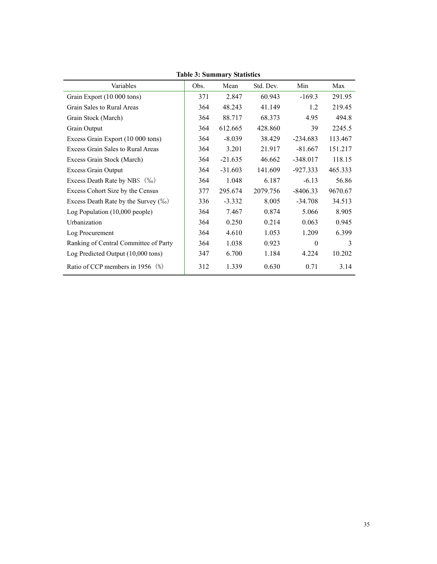|                                       |      | Table 9: Builling y Blatistics |           |            |         |
|---------------------------------------|------|--------------------------------|-----------|------------|---------|
| Variables                             | Obs. | Mean                           | Std. Dev. | Min        | Max     |
| Grain Export (10 000 tons)            | 371  | 2.847                          | 60.943    | $-169.3$   | 291.95  |
| Grain Sales to Rural Areas            | 364  | 48.243                         | 41.149    | 1.2        | 219.45  |
| Grain Stock (March)                   | 364  | 88.717                         | 68.373    | 4.95       | 494.8   |
| Grain Output                          | 364  | 612.665                        | 428.860   | 39         | 2245.5  |
| Excess Grain Export (10 000 tons)     | 364  | $-8.039$                       | 38.429    | $-234.683$ | 113.467 |
| Excess Grain Sales to Rural Areas     | 364  | 3.201                          | 21.917    | $-81.667$  | 151.217 |
| Excess Grain Stock (March)            | 364  | $-21.635$                      | 46.662    | $-348.017$ | 118.15  |
| Excess Grain Output                   | 364  | $-31.603$                      | 141.609   | $-927.333$ | 465.333 |
| Excess Death Rate by NBS $(\%_0)$     | 364  | 1.048                          | 6.187     | $-6.13$    | 56.86   |
| Excess Cohort Size by the Census      | 377  | 295.674                        | 2079.756  | $-8406.33$ | 9670.67 |
| Excess Death Rate by the Survey (%)   | 336  | $-3.332$                       | 8.005     | $-34.708$  | 34.513  |
| Log Population (10,000 people)        | 364  | 7.467                          | 0.874     | 5.066      | 8.905   |
| Urbanization                          | 364  | 0.250                          | 0.214     | 0.063      | 0.945   |
| Log Procurement                       | 364  | 4.610                          | 1.053     | 1.209      | 6.399   |
| Ranking of Central Committee of Party | 364  | 1.038                          | 0.923     | $\theta$   | 3       |
| Log Predicted Output (10,000 tons)    | 347  | 6.700                          | 1.184     | 4.224      | 10.202  |
| Ratio of CCP members in 1956 (%)      | 312  | 1.339                          | 0.630     | 0.71       | 3.14    |

**Table 3: Summary Statistics**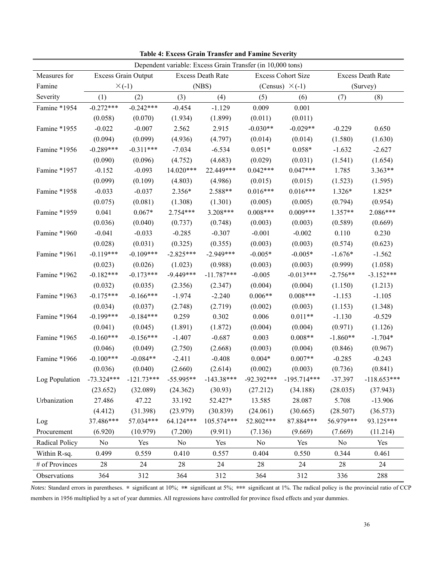| Dependent variable: Excess Grain Transfer (in 10,000 tons) |                           |             |                   |              |                           |               |                   |               |
|------------------------------------------------------------|---------------------------|-------------|-------------------|--------------|---------------------------|---------------|-------------------|---------------|
| Measures for                                               | Excess Grain Output       |             | Excess Death Rate |              | <b>Excess Cohort Size</b> |               | Excess Death Rate |               |
| Famine                                                     | $\times$ (-1)             |             | (NBS)             |              | (Census) $\times$ (-1)    |               | (Survey)          |               |
| Severity                                                   | (1)                       | (2)         | (3)               | (4)          | (5)                       | (6)           | (7)               | (8)           |
| Famine *1954                                               | $-0.272***$               | $-0.242***$ | $-0.454$          | $-1.129$     | 0.009                     | 0.001         |                   |               |
|                                                            | (0.058)                   | (0.070)     | (1.934)           | (1.899)      | (0.011)                   | (0.011)       |                   |               |
| Famine *1955                                               | $-0.022$                  | $-0.007$    | 2.562             | 2.915        | $-0.030**$                | $-0.029**$    | $-0.229$          | 0.650         |
|                                                            | (0.094)                   | (0.099)     | (4.936)           | (4.797)      | (0.014)                   | (0.014)       | (1.580)           | (1.630)       |
| Famine *1956                                               | $-0.289***$               | $-0.311***$ | $-7.034$          | $-6.534$     | $0.051*$                  | $0.058*$      | $-1.632$          | $-2.627$      |
|                                                            | (0.090)                   | (0.096)     | (4.752)           | (4.683)      | (0.029)                   | (0.031)       | (1.541)           | (1.654)       |
| Famine *1957                                               | $-0.152$                  | $-0.093$    | 14.020***         | 22.449***    | $0.042***$                | $0.047***$    | 1.785             | 3.363**       |
|                                                            | (0.099)                   | (0.109)     | (4.803)           | (4.986)      | (0.015)                   | (0.015)       | (1.523)           | (1.595)       |
| Famine *1958                                               | $-0.033$                  | $-0.037$    | 2.356*            | 2.588**      | $0.016***$                | $0.016***$    | 1.326*            | 1.825*        |
|                                                            | (0.075)                   | (0.081)     | (1.308)           | (1.301)      | (0.005)                   | (0.005)       | (0.794)           | (0.954)       |
| Famine *1959                                               | 0.041                     | $0.067*$    | $2.754***$        | $3.208***$   | $0.008***$                | $0.009***$    | $1.357**$         | 2.086***      |
|                                                            | (0.036)                   | (0.040)     | (0.737)           | (0.748)      | (0.003)                   | (0.003)       | (0.589)           | (0.669)       |
| Famine *1960                                               | $-0.041$                  | $-0.033$    | $-0.285$          | $-0.307$     | $-0.001$                  | $-0.002$      | 0.110             | 0.230         |
|                                                            | (0.028)                   | (0.031)     | (0.325)           | (0.355)      | (0.003)                   | (0.003)       | (0.574)           | (0.623)       |
| Famine *1961                                               | $-0.119***$               | $-0.109***$ | $-2.825***$       | $-2.949***$  | $-0.005*$                 | $-0.005*$     | $-1.676*$         | $-1.562$      |
|                                                            | (0.023)                   | (0.026)     | (1.023)           | (0.988)      | (0.003)                   | (0.003)       | (0.999)           | (1.058)       |
| Famine *1962                                               | $-0.182***$               | $-0.173***$ | $-9.449***$       | $-11.787***$ | $-0.005$                  | $-0.013***$   | $-2.756**$        | $-3.152***$   |
|                                                            | (0.032)                   | (0.035)     | (2.356)           | (2.347)      | (0.004)                   | (0.004)       | (1.150)           | (1.213)       |
| Famine *1963                                               | $-0.175***$               | $-0.166***$ | $-1.974$          | $-2.240$     | $0.006**$                 | $0.008***$    | $-1.153$          | $-1.105$      |
|                                                            | (0.034)                   | (0.037)     | (2.748)           | (2.719)      | (0.002)                   | (0.003)       | (1.153)           | (1.348)       |
| Famine *1964                                               | $-0.199***$               | $-0.184***$ | 0.259             | 0.302        | 0.006                     | $0.011**$     | $-1.130$          | $-0.529$      |
|                                                            | (0.041)                   | (0.045)     | (1.891)           | (1.872)      | (0.004)                   | (0.004)       | (0.971)           | (1.126)       |
| Famine *1965                                               | $-0.160***$               | $-0.156***$ | $-1.407$          | $-0.687$     | 0.003                     | $0.008**$     | $-1.860**$        | $-1.704*$     |
|                                                            | (0.046)                   | (0.049)     | (2.750)           | (2.668)      | (0.003)                   | (0.004)       | (0.846)           | (0.967)       |
| Famine *1966                                               | $-0.100***$               | $-0.084**$  | $-2.411$          | $-0.408$     | $0.004*$                  | $0.007**$     | $-0.285$          | $-0.243$      |
|                                                            | (0.036)                   | (0.040)     | (2.660)           | (2.614)      | (0.002)                   | (0.003)       | (0.736)           | (0.841)       |
| Log Population                                             | $-73.324***$ $-121.73***$ |             | $-55.995**$       | $-143.38***$ | $-92.392***$              | $-195.714***$ | $-37.397$         | $-118.653***$ |
|                                                            | (23.652)                  | (32.089)    | (24.362)          | (30.93)      | (27.212)                  | (34.188)      | (28.035)          | (37.943)      |
| Urbanization                                               | 27.486                    | 47.22       | 33.192            | 52.427*      | 13.585                    | 28.087        | 5.708             | $-13.906$     |
|                                                            | (4.412)                   | (31.398)    | (23.979)          | (30.839)     | (24.061)                  | (30.665)      | (28.507)          | (36.573)      |
| Log                                                        | 37.486***                 | 57.034***   | 64.124***         | 105.574***   | 52.802***                 | 87.884***     | 56.979***         | 93.125***     |
| Procurement                                                | (6.920)                   | (10.979)    | (7.200)           | (9.911)      | (7.136)                   | (9.669)       | (7.669)           | (11.214)      |
| Radical Policy                                             | No                        | Yes         | N <sub>o</sub>    | Yes          | No                        | Yes           | No                | Yes           |
| Within R-sq.                                               | 0.499                     | 0.559       | 0.410             | 0.557        | 0.404                     | 0.550         | 0.344             | 0.461         |
| # of Provinces                                             | 28                        | 24          | 28                | 24           | 28                        | 24            | 28                | 24            |
| Observations                                               | 364                       | 312         | 364               | 312          | 364                       | 312           | 336               | 288           |

**Table 4: Excess Grain Transfer and Famine Severity** 

*Notes:* Standard errors in parentheses. \* significant at 10%; \*\* significant at 5%; \*\*\* significant at 1%. The radical policy is the provincial ratio of CCP members in 1956 multiplied by a set of year dummies. All regressions have controlled for province fixed effects and year dummies.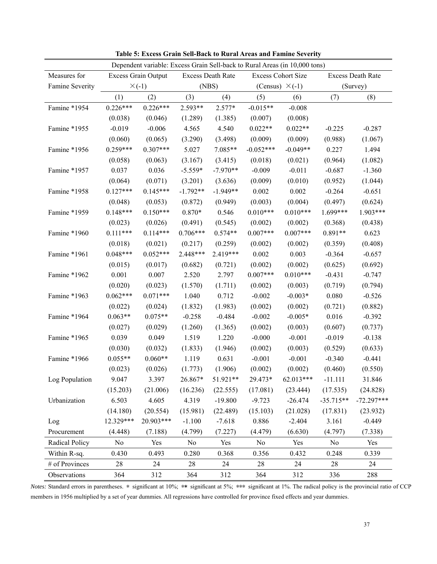| Dependent variable: Excess Grain Sell-back to Rural Areas (in 10,000 tons) |                            |            |                          |            |                           |            |                          |              |
|----------------------------------------------------------------------------|----------------------------|------------|--------------------------|------------|---------------------------|------------|--------------------------|--------------|
| Measures for                                                               | <b>Excess Grain Output</b> |            | <b>Excess Death Rate</b> |            | <b>Excess Cohort Size</b> |            | <b>Excess Death Rate</b> |              |
| Famine Severity                                                            | $\times$ (-1)              |            | (NBS)                    |            | (Census) $\times$ (-1)    |            | (Survey)                 |              |
|                                                                            | (1)                        | (2)        | (3)                      | (4)        | (5)                       | (6)        | (7)                      | (8)          |
| Famine *1954                                                               | $0.226***$                 | $0.226***$ | 2.593**                  | $2.577*$   | $-0.015**$                | $-0.008$   |                          |              |
|                                                                            | (0.038)                    | (0.046)    | (1.289)                  | (1.385)    | (0.007)                   | (0.008)    |                          |              |
| Famine *1955                                                               | $-0.019$                   | $-0.006$   | 4.565                    | 4.540      | $0.022**$                 | $0.022**$  | $-0.225$                 | $-0.287$     |
|                                                                            | (0.060)                    | (0.065)    | (3.290)                  | (3.498)    | (0.009)                   | (0.009)    | (0.988)                  | (1.067)      |
| Famine *1956                                                               | $0.259***$                 | $0.307***$ | 5.027                    | 7.085**    | $-0.052***$               | $-0.049**$ | 0.227                    | 1.494        |
|                                                                            | (0.058)                    | (0.063)    | (3.167)                  | (3.415)    | (0.018)                   | (0.021)    | (0.964)                  | (1.082)      |
| Famine *1957                                                               | 0.037                      | 0.036      | $-5.559*$                | $-7.970**$ | $-0.009$                  | $-0.011$   | $-0.687$                 | $-1.360$     |
|                                                                            | (0.064)                    | (0.071)    | (3.201)                  | (3.636)    | (0.009)                   | (0.010)    | (0.952)                  | (1.044)      |
| Famine *1958                                                               | $0.127***$                 | $0.145***$ | $-1.792**$               | $-1.949**$ | 0.002                     | 0.002      | $-0.264$                 | $-0.651$     |
|                                                                            | (0.048)                    | (0.053)    | (0.872)                  | (0.949)    | (0.003)                   | (0.004)    | (0.497)                  | (0.624)      |
| Famine *1959                                                               | $0.148***$                 | $0.150***$ | $0.870*$                 | 0.546      | $0.010***$                | $0.010***$ | 1.699***                 | 1.903***     |
|                                                                            | (0.023)                    | (0.026)    | (0.491)                  | (0.545)    | (0.002)                   | (0.002)    | (0.368)                  | (0.438)      |
| Famine *1960                                                               | $0.111***$                 | $0.114***$ | $0.706***$               | $0.574**$  | $0.007***$                | $0.007***$ | $0.891**$                | 0.623        |
|                                                                            | (0.018)                    | (0.021)    | (0.217)                  | (0.259)    | (0.002)                   | (0.002)    | (0.359)                  | (0.408)      |
| Famine *1961                                                               | $0.048***$                 | $0.052***$ | 2.448***                 | 2.419***   | 0.002                     | 0.003      | $-0.364$                 | $-0.657$     |
|                                                                            | (0.015)                    | (0.017)    | (0.682)                  | (0.721)    | (0.002)                   | (0.002)    | (0.625)                  | (0.692)      |
| Famine *1962                                                               | 0.001                      | 0.007      | 2.520                    | 2.797      | $0.007***$                | $0.010***$ | $-0.431$                 | $-0.747$     |
|                                                                            | (0.020)                    | (0.023)    | (1.570)                  | (1.711)    | (0.002)                   | (0.003)    | (0.719)                  | (0.794)      |
| Famine *1963                                                               | $0.062***$                 | $0.071***$ | 1.040                    | 0.712      | $-0.002$                  | $-0.003*$  | 0.080                    | $-0.526$     |
|                                                                            | (0.022)                    | (0.024)    | (1.832)                  | (1.983)    | (0.002)                   | (0.002)    | (0.721)                  | (0.882)      |
| Famine *1964                                                               | $0.063**$                  | $0.075**$  | $-0.258$                 | $-0.484$   | $-0.002$                  | $-0.005*$  | 0.016                    | $-0.392$     |
|                                                                            | (0.027)                    | (0.029)    | (1.260)                  | (1.365)    | (0.002)                   | (0.003)    | (0.607)                  | (0.737)      |
| Famine *1965                                                               | 0.039                      | 0.049      | 1.519                    | 1.220      | $-0.000$                  | $-0.001$   | $-0.019$                 | $-0.138$     |
|                                                                            | (0.030)                    | (0.032)    | (1.833)                  | (1.946)    | (0.002)                   | (0.003)    | (0.529)                  | (0.633)      |
| Famine *1966                                                               | $0.055**$                  | $0.060**$  | 1.119                    | 0.631      | $-0.001$                  | $-0.001$   | $-0.340$                 | $-0.441$     |
|                                                                            | (0.023)                    | (0.026)    | (1.773)                  | (1.906)    | (0.002)                   | (0.002)    | (0.460)                  | (0.550)      |
| Log Population                                                             | 9.047                      | 3.397      | 26.867*                  | 51.921**   | 29.473*                   | 62.013***  | $-11.111$                | 31.846       |
|                                                                            | (15.203)                   | (21.006)   | (16.236)                 | (22.555)   | (17.081)                  | (23.444)   | (17.535)                 | (24.828)     |
| Urbanization                                                               | 6.503                      | 4.605      | 4.319                    | $-19.800$  | $-9.723$                  | $-26.474$  | $-35.715**$              | $-72.297***$ |
|                                                                            | (14.180)                   | (20.554)   | (15.981)                 | (22.489)   | (15.103)                  | (21.028)   | (17.831)                 | (23.932)     |
| Log                                                                        | 12.329***                  | 20.903***  | $-1.100$                 | $-7.618$   | 0.886                     | $-2.404$   | 3.161                    | $-0.449$     |
| Procurement                                                                | (4.448)                    | (7.188)    | (4.799)                  | (7.227)    | (4.479)                   | (6.630)    | (4.797)                  | (7.338)      |
| Radical Policy                                                             | No                         | Yes        | N <sub>o</sub>           | Yes        | No                        | Yes        | No                       | Yes          |
| Within R-sq.                                                               | 0.430                      | 0.493      | 0.280                    | 0.368      | 0.356                     | 0.432      | 0.248                    | 0.339        |
| # of Provinces                                                             | 28                         | 24         | 28                       | 24         | 28                        | 24         | 28                       | 24           |
| Observations                                                               | 364                        | 312        | 364                      | 312        | 364                       | 312        | 336                      | 288          |

**Table 5: Excess Grain Sell-Back to Rural Areas and Famine Severity** 

*Notes:* Standard errors in parentheses. \* significant at 10%; \*\* significant at 5%; \*\*\* significant at 1%. The radical policy is the provincial ratio of CCP members in 1956 multiplied by a set of year dummies. All regressions have controlled for province fixed effects and year dummies.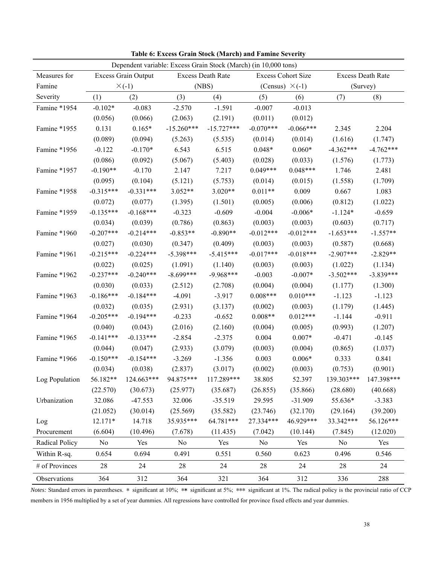| Dependent variable: Excess Grain Stock (March) (in 10,000 tons) |                            |             |                   |              |                           |             |                   |             |
|-----------------------------------------------------------------|----------------------------|-------------|-------------------|--------------|---------------------------|-------------|-------------------|-------------|
| Measures for                                                    | <b>Excess Grain Output</b> |             | Excess Death Rate |              | <b>Excess Cohort Size</b> |             | Excess Death Rate |             |
| Famine                                                          | $\times$ (-1)              |             | (NBS)             |              | (Census) $\times$ (-1)    |             | (Survey)          |             |
| Severity                                                        | (1)                        | (2)         | (3)               | (4)          | (5)                       | (6)         | (7)               | (8)         |
| Famine *1954                                                    | $-0.102*$                  | $-0.083$    | $-2.570$          | $-1.591$     | $-0.007$                  | $-0.013$    |                   |             |
|                                                                 | (0.056)                    | (0.066)     | (2.063)           | (2.191)      | (0.011)                   | (0.012)     |                   |             |
| Famine *1955                                                    | 0.131                      | $0.165*$    | $-15.260***$      | $-15.727***$ | $-0.070***$               | $-0.066***$ | 2.345             | 2.204       |
|                                                                 | (0.089)                    | (0.094)     | (5.263)           | (5.535)      | (0.014)                   | (0.014)     | (1.616)           | (1.747)     |
| Famine *1956                                                    | $-0.122$                   | $-0.170*$   | 6.543             | 6.515        | $0.048*$                  | $0.060*$    | $-4.362***$       | $-4.762***$ |
|                                                                 | (0.086)                    | (0.092)     | (5.067)           | (5.403)      | (0.028)                   | (0.033)     | (1.576)           | (1.773)     |
| Famine *1957                                                    | $-0.190**$                 | $-0.170$    | 2.147             | 7.217        | $0.049***$                | $0.048***$  | 1.746             | 2.481       |
|                                                                 | (0.095)                    | (0.104)     | (5.121)           | (5.753)      | (0.014)                   | (0.015)     | (1.558)           | (1.709)     |
| Famine *1958                                                    | $-0.315***$                | $-0.331***$ | $3.052**$         | $3.020**$    | $0.011**$                 | 0.009       | 0.667             | 1.083       |
|                                                                 | (0.072)                    | (0.077)     | (1.395)           | (1.501)      | (0.005)                   | (0.006)     | (0.812)           | (1.022)     |
| Famine *1959                                                    | $-0.135***$                | $-0.168***$ | $-0.323$          | $-0.609$     | $-0.004$                  | $-0.006*$   | $-1.124*$         | $-0.659$    |
|                                                                 | (0.034)                    | (0.039)     | (0.786)           | (0.863)      | (0.003)                   | (0.003)     | (0.603)           | (0.717)     |
| Famine *1960                                                    | $-0.207***$                | $-0.214***$ | $-0.853**$        | $-0.890**$   | $-0.012***$               | $-0.012***$ | $-1.653***$       | $-1.557**$  |
|                                                                 | (0.027)                    | (0.030)     | (0.347)           | (0.409)      | (0.003)                   | (0.003)     | (0.587)           | (0.668)     |
| Famine *1961                                                    | $-0.215***$                | $-0.224***$ | $-5.398***$       | $-5.415***$  | $-0.017***$               | $-0.018***$ | $-2.907***$       | $-2.829**$  |
|                                                                 | (0.022)                    | (0.025)     | (1.091)           | (1.140)      | (0.003)                   | (0.003)     | (1.022)           | (1.134)     |
| Famine *1962                                                    | $-0.237***$                | $-0.240***$ | $-8.699***$       | $-9.968***$  | $-0.003$                  | $-0.007*$   | $-3.502***$       | $-3.839***$ |
|                                                                 | (0.030)                    | (0.033)     | (2.512)           | (2.708)      | (0.004)                   | (0.004)     | (1.177)           | (1.300)     |
| Famine *1963                                                    | $-0.186***$                | $-0.184***$ | $-4.091$          | $-3.917$     | $0.008***$                | $0.010***$  | $-1.123$          | $-1.123$    |
|                                                                 | (0.032)                    | (0.035)     | (2.931)           | (3.137)      | (0.002)                   | (0.003)     | (1.179)           | (1.445)     |
| Famine *1964                                                    | $-0.205***$                | $-0.194***$ | $-0.233$          | $-0.652$     | $0.008**$                 | $0.012***$  | $-1.144$          | $-0.911$    |
|                                                                 | (0.040)                    | (0.043)     | (2.016)           | (2.160)      | (0.004)                   | (0.005)     | (0.993)           | (1.207)     |
| Famine *1965                                                    | $-0.141***$                | $-0.133***$ | $-2.854$          | $-2.375$     | 0.004                     | $0.007*$    | $-0.471$          | $-0.145$    |
|                                                                 | (0.044)                    | (0.047)     | (2.933)           | (3.079)      | (0.003)                   | (0.004)     | (0.865)           | (1.037)     |
| Famine *1966                                                    | $-0.150***$                | $-0.154***$ | $-3.269$          | $-1.356$     | 0.003                     | $0.006*$    | 0.333             | 0.841       |
|                                                                 | (0.034)                    | (0.038)     | (2.837)           | (3.017)      | (0.002)                   | (0.003)     | (0.753)           | (0.901)     |
| Log Population                                                  | 56.182**                   | 124.663***  | 94.875***         | 117.289***   | 38.805                    | 52.397      | 139.303***        | 147.398***  |
|                                                                 | (22.570)                   | (30.673)    | (25.977)          | (35.687)     | (26.855)                  | (35.866)    | (28.680)          | (40.668)    |
| Urbanization                                                    | 32.086                     | $-47.553$   | 32.006            | $-35.519$    | 29.595                    | $-31.909$   | 55.636*           | $-3.383$    |
|                                                                 | (21.052)                   | (30.014)    | (25.569)          | (35.582)     | (23.746)                  | (32.170)    | (29.164)          | (39.200)    |
| Log                                                             | $12.171*$                  | 14.718      | 35.935***         | 64.781***    | 27.334***                 | 46.929***   | 33.342***         | 56.126***   |
| Procurement                                                     | (6.604)                    | (10.496)    | (7.678)           | (11.435)     | (7.042)                   | (10.144)    | (7.845)           | (12.020)    |
| Radical Policy                                                  | No                         | Yes         | No                | Yes          | No                        | Yes         | No                | Yes         |
| Within R-sq.                                                    | 0.654                      | 0.694       | 0.491             | 0.551        | 0.560                     | 0.623       | 0.496             | 0.546       |
| # of Provinces                                                  | 28                         | 24          | 28                | 24           | 28                        | 24          | 28                | 24          |
| Observations                                                    | 364                        | 312         | 364               | 321          | 364                       | 312         | 336               | 288         |

**Table 6: Excess Grain Stock (March) and Famine Severity** 

*Notes:* Standard errors in parentheses. \* significant at 10%; \*\* significant at 5%; \*\*\* significant at 1%. The radical policy is the provincial ratio of CCP members in 1956 multiplied by a set of year dummies. All regressions have controlled for province fixed effects and year dummies.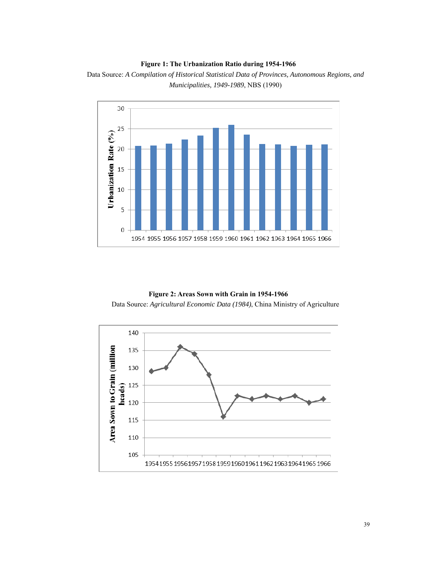## **Figure 1: The Urbanization Ratio during 1954-1966**



Data Source: *A Compilation of Historical Statistical Data of Provinces, Autonomous Regions, and Municipalities, 1949-1989*, NBS (1990)

# **Figure 2: Areas Sown with Grain in 1954-1966**

Data Source: *Agricultural Economic Data (1984)*, China Ministry of Agriculture

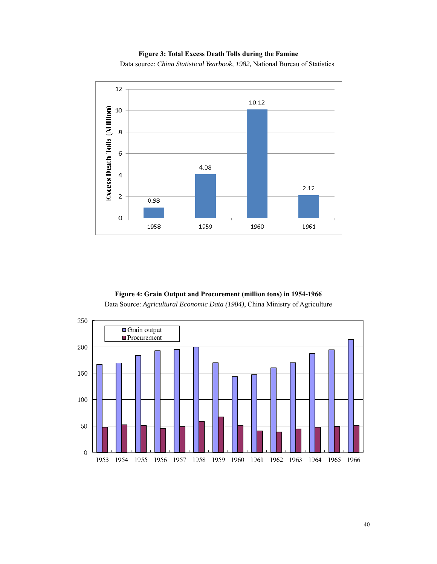# **Figure 3: Total Excess Death Tolls during the Famine**

Data source: *China Statistical Yearbook, 1982,* National Bureau of Statistics



**Figure 4: Grain Output and Procurement (million tons) in 1954-1966** 

Data Source: *Agricultural Economic Data (1984)*, China Ministry of Agriculture

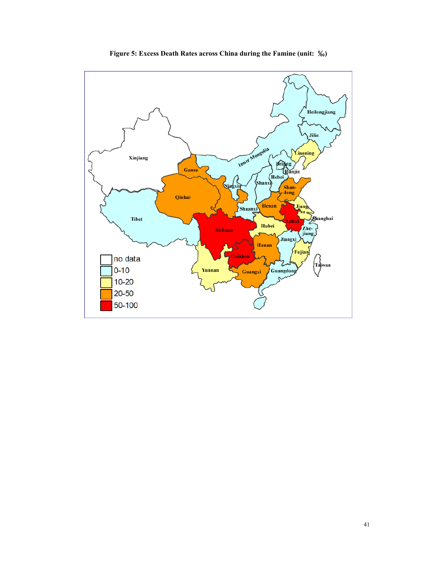

**Figure 5: Excess Death Rates across China during the Famine (unit:** ‰**)**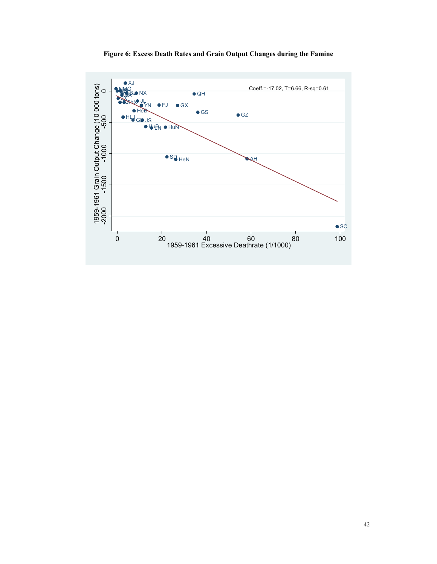

**Figure 6: Excess Death Rates and Grain Output Changes during the Famine**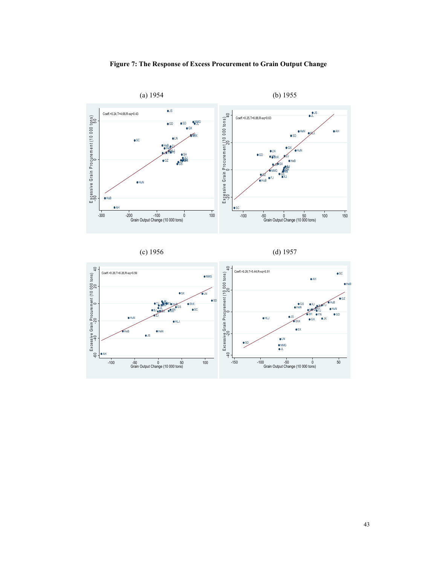







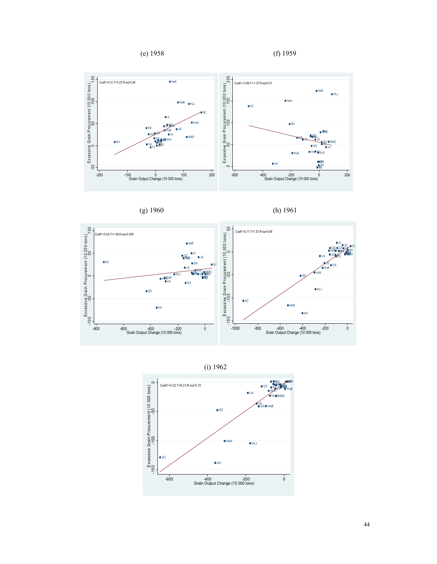









(i) 1962

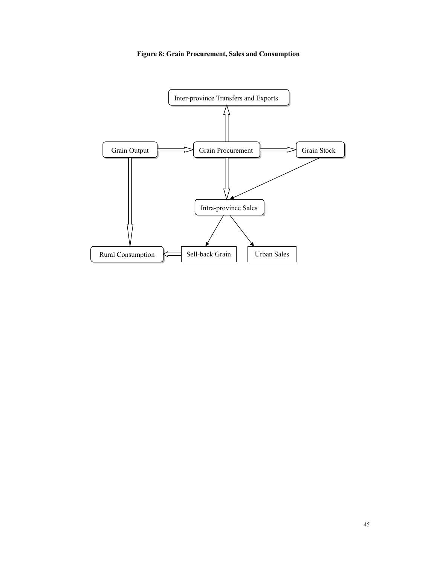**Figure 8: Grain Procurement, Sales and Consumption**